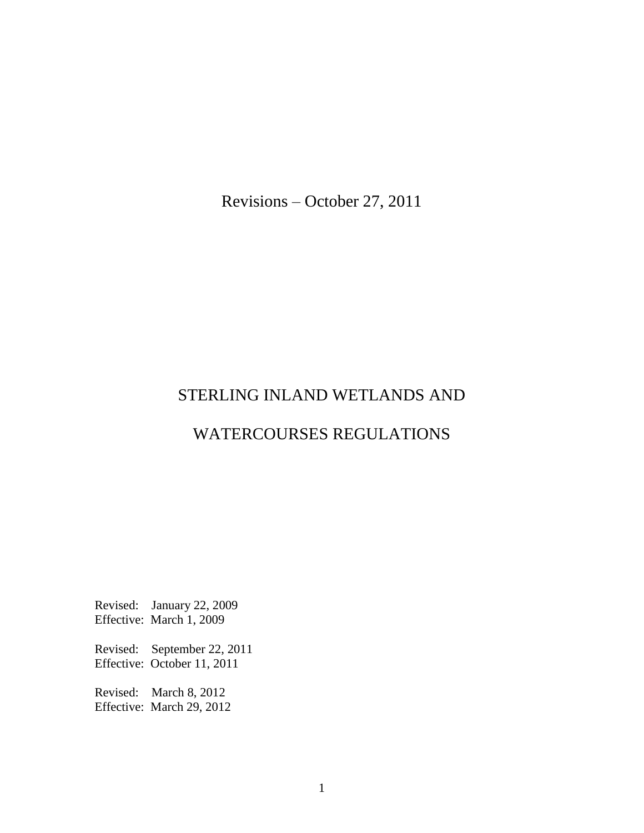Revisions – October 27, 2011

# STERLING INLAND WETLANDS AND

## WATERCOURSES REGULATIONS

Revised: January 22, 2009 Effective: March 1, 2009

Revised: September 22, 2011 Effective: October 11, 2011

Revised: March 8, 2012 Effective: March 29, 2012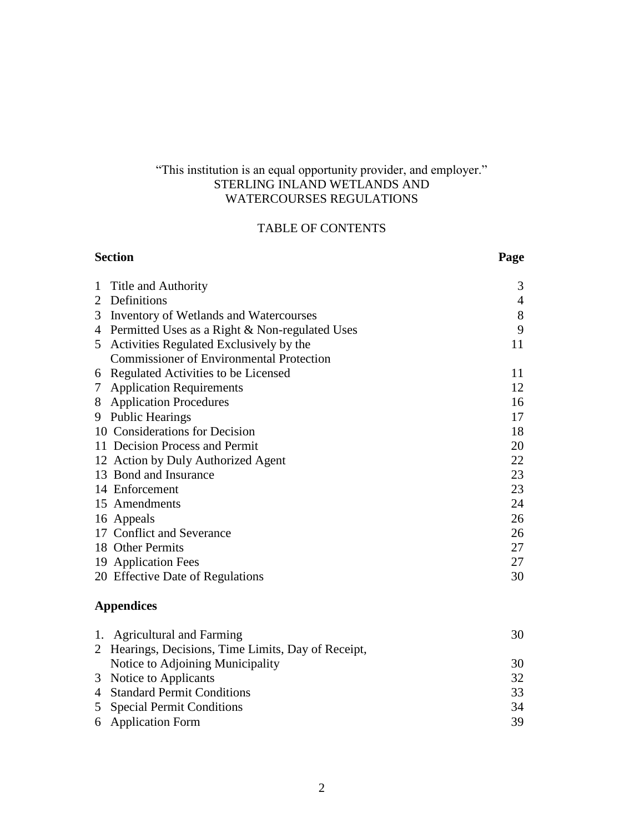#### "This institution is an equal opportunity provider, and employer." STERLING INLAND WETLANDS AND WATERCOURSES REGULATIONS

## TABLE OF CONTENTS

| <b>Section</b>                                             | Page           |
|------------------------------------------------------------|----------------|
| Title and Authority<br>1                                   | 3              |
| 2 Definitions                                              | $\overline{4}$ |
| Inventory of Wetlands and Watercourses<br>3                | 8              |
| 4 Permitted Uses as a Right & Non-regulated Uses           | 9              |
| Activities Regulated Exclusively by the<br>5               | 11             |
| <b>Commissioner of Environmental Protection</b>            |                |
| Regulated Activities to be Licensed<br>6                   | 11             |
| 7 Application Requirements                                 | 12             |
| 8 Application Procedures                                   | 16             |
| 9 Public Hearings                                          | 17             |
| 10 Considerations for Decision                             | 18             |
| 11 Decision Process and Permit                             | 20             |
| 12 Action by Duly Authorized Agent                         | 22             |
| 13 Bond and Insurance                                      | 23             |
| 14 Enforcement                                             | 23             |
| 15 Amendments                                              | 24             |
| 16 Appeals                                                 | 26             |
| 17 Conflict and Severance                                  | 26             |
| 18 Other Permits                                           | 27             |
| 19 Application Fees                                        | 27             |
| 20 Effective Date of Regulations                           | 30             |
| <b>Appendices</b>                                          |                |
| 1. Agricultural and Farming                                | 30             |
| 2 Hearings, Decisions, Time Limits, Day of Receipt,        |                |
| <b>THE REPORT OF STRAINING AND INCOME.</b><br>$\mathbf{1}$ | $\bigcap$      |

| Notice to Adjoining Municipality | 30  |
|----------------------------------|-----|
| 3 Notice to Applicants           | 32. |
| 4 Standard Permit Conditions     | 33  |
| 5 Special Permit Conditions      | 34  |
| 6 Application Form               | 39. |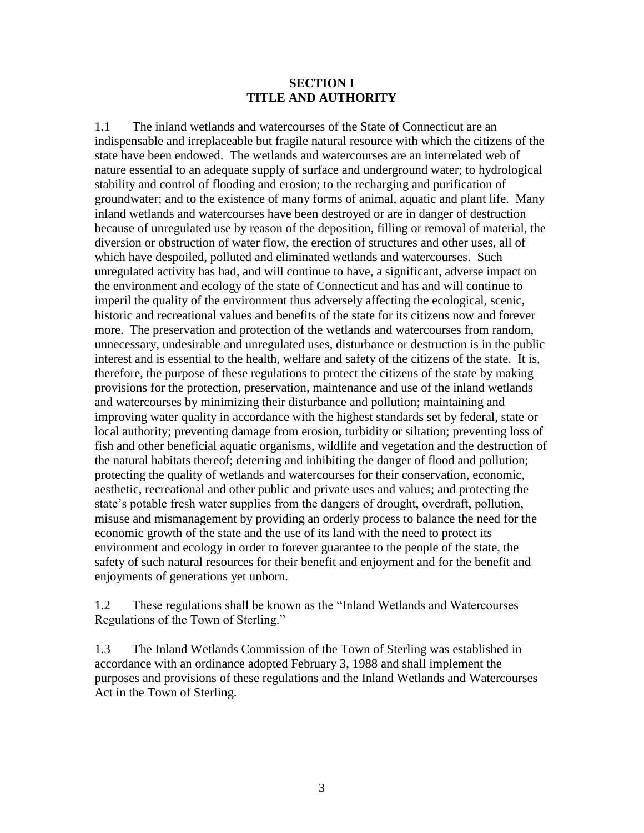#### **SECTION I TITLE AND AUTHORITY**

1.1 The inland wetlands and watercourses of the State of Connecticut are an indispensable and irreplaceable but fragile natural resource with which the citizens of the state have been endowed. The wetlands and watercourses are an interrelated web of nature essential to an adequate supply of surface and underground water; to hydrological stability and control of flooding and erosion; to the recharging and purification of groundwater; and to the existence of many forms of animal, aquatic and plant life. Many inland wetlands and watercourses have been destroyed or are in danger of destruction because of unregulated use by reason of the deposition, filling or removal of material, the diversion or obstruction of water flow, the erection of structures and other uses, all of which have despoiled, polluted and eliminated wetlands and watercourses. Such unregulated activity has had, and will continue to have, a significant, adverse impact on the environment and ecology of the state of Connecticut and has and will continue to imperil the quality of the environment thus adversely affecting the ecological, scenic, historic and recreational values and benefits of the state for its citizens now and forever more. The preservation and protection of the wetlands and watercourses from random, unnecessary, undesirable and unregulated uses, disturbance or destruction is in the public interest and is essential to the health, welfare and safety of the citizens of the state. It is, therefore, the purpose of these regulations to protect the citizens of the state by making provisions for the protection, preservation, maintenance and use of the inland wetlands and watercourses by minimizing their disturbance and pollution; maintaining and improving water quality in accordance with the highest standards set by federal, state or local authority; preventing damage from erosion, turbidity or siltation; preventing loss of fish and other beneficial aquatic organisms, wildlife and vegetation and the destruction of the natural habitats thereof; deterring and inhibiting the danger of flood and pollution; protecting the quality of wetlands and watercourses for their conservation, economic, aesthetic, recreational and other public and private uses and values; and protecting the state's potable fresh water supplies from the dangers of drought, overdraft, pollution, misuse and mismanagement by providing an orderly process to balance the need for the economic growth of the state and the use of its land with the need to protect its environment and ecology in order to forever guarantee to the people of the state, the safety of such natural resources for their benefit and enjoyment and for the benefit and enjoyments of generations yet unborn.

1.2 These regulations shall be known as the "Inland Wetlands and Watercourses Regulations of the Town of Sterling."

1.3 The Inland Wetlands Commission of the Town of Sterling was established in accordance with an ordinance adopted February 3, 1988 and shall implement the purposes and provisions of these regulations and the Inland Wetlands and Watercourses Act in the Town of Sterling.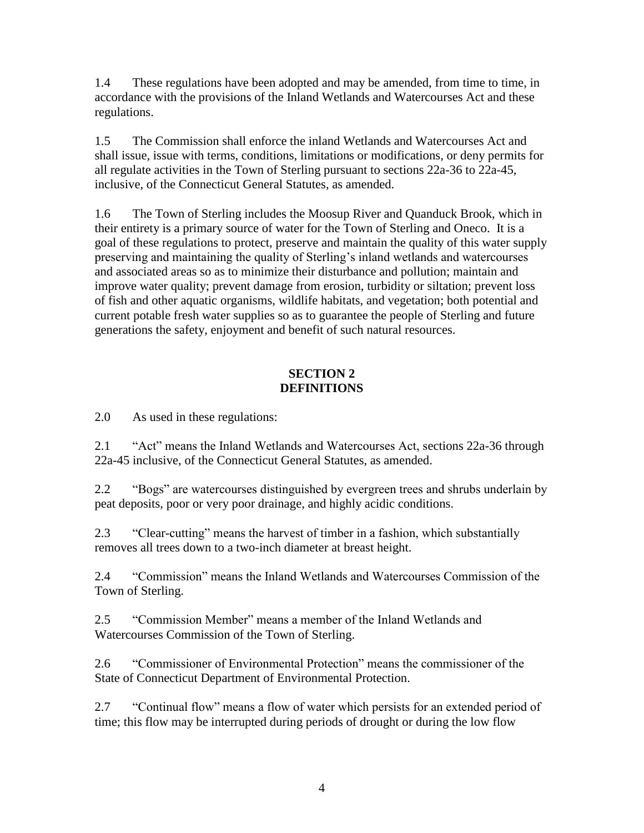1.4 These regulations have been adopted and may be amended, from time to time, in accordance with the provisions of the Inland Wetlands and Watercourses Act and these regulations.

1.5 The Commission shall enforce the inland Wetlands and Watercourses Act and shall issue, issue with terms, conditions, limitations or modifications, or deny permits for all regulate activities in the Town of Sterling pursuant to sections 22a-36 to 22a-45, inclusive, of the Connecticut General Statutes, as amended.

1.6 The Town of Sterling includes the Moosup River and Quanduck Brook, which in their entirety is a primary source of water for the Town of Sterling and Oneco. It is a goal of these regulations to protect, preserve and maintain the quality of this water supply preserving and maintaining the quality of Sterling's inland wetlands and watercourses and associated areas so as to minimize their disturbance and pollution; maintain and improve water quality; prevent damage from erosion, turbidity or siltation; prevent loss of fish and other aquatic organisms, wildlife habitats, and vegetation; both potential and current potable fresh water supplies so as to guarantee the people of Sterling and future generations the safety, enjoyment and benefit of such natural resources.

## **SECTION 2 DEFINITIONS**

2.0 As used in these regulations:

2.1 "Act" means the Inland Wetlands and Watercourses Act, sections 22a-36 through 22a-45 inclusive, of the Connecticut General Statutes, as amended.

2.2 "Bogs" are watercourses distinguished by evergreen trees and shrubs underlain by peat deposits, poor or very poor drainage, and highly acidic conditions.

2.3 "Clear-cutting" means the harvest of timber in a fashion, which substantially removes all trees down to a two-inch diameter at breast height.

2.4 "Commission" means the Inland Wetlands and Watercourses Commission of the Town of Sterling.

2.5 "Commission Member" means a member of the Inland Wetlands and Watercourses Commission of the Town of Sterling.

2.6 "Commissioner of Environmental Protection" means the commissioner of the State of Connecticut Department of Environmental Protection.

2.7 "Continual flow" means a flow of water which persists for an extended period of time; this flow may be interrupted during periods of drought or during the low flow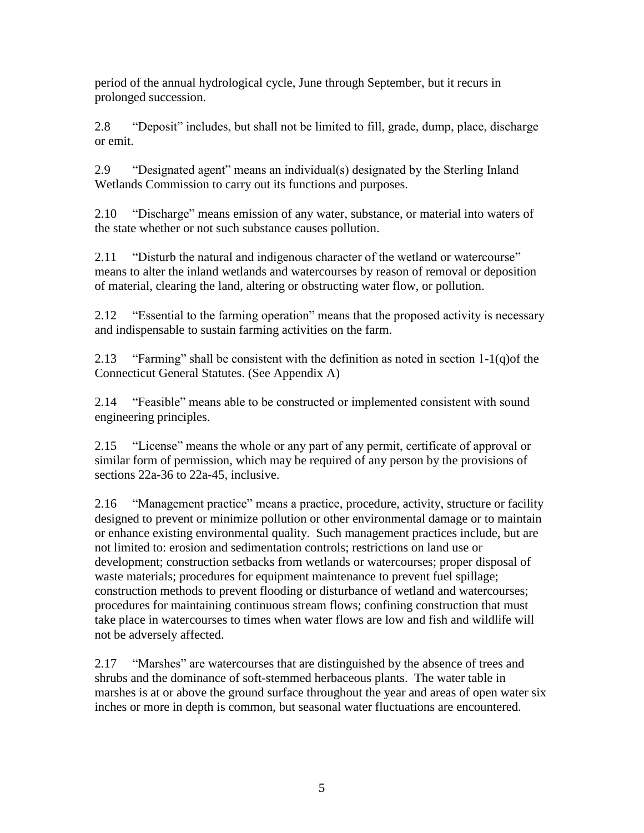period of the annual hydrological cycle, June through September, but it recurs in prolonged succession.

2.8 "Deposit" includes, but shall not be limited to fill, grade, dump, place, discharge or emit.

2.9 "Designated agent" means an individual(s) designated by the Sterling Inland Wetlands Commission to carry out its functions and purposes.

2.10 "Discharge" means emission of any water, substance, or material into waters of the state whether or not such substance causes pollution.

2.11 "Disturb the natural and indigenous character of the wetland or watercourse" means to alter the inland wetlands and watercourses by reason of removal or deposition of material, clearing the land, altering or obstructing water flow, or pollution.

2.12 "Essential to the farming operation" means that the proposed activity is necessary and indispensable to sustain farming activities on the farm.

2.13 "Farming" shall be consistent with the definition as noted in section  $1-1(q)$  of the Connecticut General Statutes. (See Appendix A)

2.14 "Feasible" means able to be constructed or implemented consistent with sound engineering principles.

2.15 "License" means the whole or any part of any permit, certificate of approval or similar form of permission, which may be required of any person by the provisions of sections 22a-36 to 22a-45, inclusive.

2.16 "Management practice" means a practice, procedure, activity, structure or facility designed to prevent or minimize pollution or other environmental damage or to maintain or enhance existing environmental quality. Such management practices include, but are not limited to: erosion and sedimentation controls; restrictions on land use or development; construction setbacks from wetlands or watercourses; proper disposal of waste materials; procedures for equipment maintenance to prevent fuel spillage; construction methods to prevent flooding or disturbance of wetland and watercourses; procedures for maintaining continuous stream flows; confining construction that must take place in watercourses to times when water flows are low and fish and wildlife will not be adversely affected.

2.17 "Marshes" are watercourses that are distinguished by the absence of trees and shrubs and the dominance of soft-stemmed herbaceous plants. The water table in marshes is at or above the ground surface throughout the year and areas of open water six inches or more in depth is common, but seasonal water fluctuations are encountered.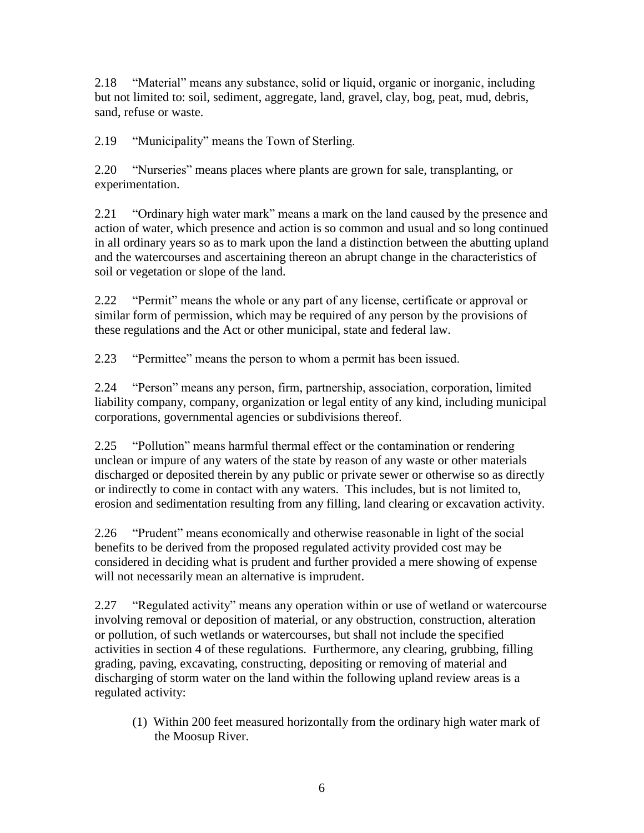2.18 "Material" means any substance, solid or liquid, organic or inorganic, including but not limited to: soil, sediment, aggregate, land, gravel, clay, bog, peat, mud, debris, sand, refuse or waste.

2.19 "Municipality" means the Town of Sterling.

2.20 "Nurseries" means places where plants are grown for sale, transplanting, or experimentation.

2.21 "Ordinary high water mark" means a mark on the land caused by the presence and action of water, which presence and action is so common and usual and so long continued in all ordinary years so as to mark upon the land a distinction between the abutting upland and the watercourses and ascertaining thereon an abrupt change in the characteristics of soil or vegetation or slope of the land.

2.22 "Permit" means the whole or any part of any license, certificate or approval or similar form of permission, which may be required of any person by the provisions of these regulations and the Act or other municipal, state and federal law.

2.23 "Permittee" means the person to whom a permit has been issued.

2.24 "Person" means any person, firm, partnership, association, corporation, limited liability company, company, organization or legal entity of any kind, including municipal corporations, governmental agencies or subdivisions thereof.

2.25 "Pollution" means harmful thermal effect or the contamination or rendering unclean or impure of any waters of the state by reason of any waste or other materials discharged or deposited therein by any public or private sewer or otherwise so as directly or indirectly to come in contact with any waters. This includes, but is not limited to, erosion and sedimentation resulting from any filling, land clearing or excavation activity.

2.26 "Prudent" means economically and otherwise reasonable in light of the social benefits to be derived from the proposed regulated activity provided cost may be considered in deciding what is prudent and further provided a mere showing of expense will not necessarily mean an alternative is imprudent.

2.27 "Regulated activity" means any operation within or use of wetland or watercourse involving removal or deposition of material, or any obstruction, construction, alteration or pollution, of such wetlands or watercourses, but shall not include the specified activities in section 4 of these regulations. Furthermore, any clearing, grubbing, filling grading, paving, excavating, constructing, depositing or removing of material and discharging of storm water on the land within the following upland review areas is a regulated activity:

(1) Within 200 feet measured horizontally from the ordinary high water mark of the Moosup River.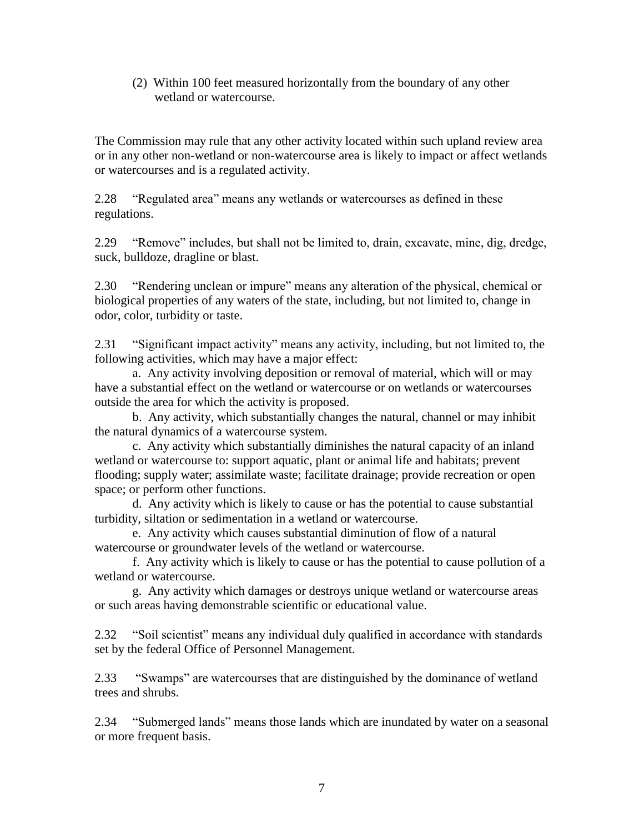(2) Within 100 feet measured horizontally from the boundary of any other wetland or watercourse.

The Commission may rule that any other activity located within such upland review area or in any other non-wetland or non-watercourse area is likely to impact or affect wetlands or watercourses and is a regulated activity.

2.28 "Regulated area" means any wetlands or watercourses as defined in these regulations.

2.29 "Remove" includes, but shall not be limited to, drain, excavate, mine, dig, dredge, suck, bulldoze, dragline or blast.

2.30 "Rendering unclean or impure" means any alteration of the physical, chemical or biological properties of any waters of the state, including, but not limited to, change in odor, color, turbidity or taste.

2.31 "Significant impact activity" means any activity, including, but not limited to, the following activities, which may have a major effect:

a. Any activity involving deposition or removal of material, which will or may have a substantial effect on the wetland or watercourse or on wetlands or watercourses outside the area for which the activity is proposed.

b. Any activity, which substantially changes the natural, channel or may inhibit the natural dynamics of a watercourse system.

c. Any activity which substantially diminishes the natural capacity of an inland wetland or watercourse to: support aquatic, plant or animal life and habitats; prevent flooding; supply water; assimilate waste; facilitate drainage; provide recreation or open space; or perform other functions.

d. Any activity which is likely to cause or has the potential to cause substantial turbidity, siltation or sedimentation in a wetland or watercourse.

e. Any activity which causes substantial diminution of flow of a natural watercourse or groundwater levels of the wetland or watercourse.

f. Any activity which is likely to cause or has the potential to cause pollution of a wetland or watercourse.

g. Any activity which damages or destroys unique wetland or watercourse areas or such areas having demonstrable scientific or educational value.

2.32 "Soil scientist" means any individual duly qualified in accordance with standards set by the federal Office of Personnel Management.

2.33 "Swamps" are watercourses that are distinguished by the dominance of wetland trees and shrubs.

2.34 "Submerged lands" means those lands which are inundated by water on a seasonal or more frequent basis.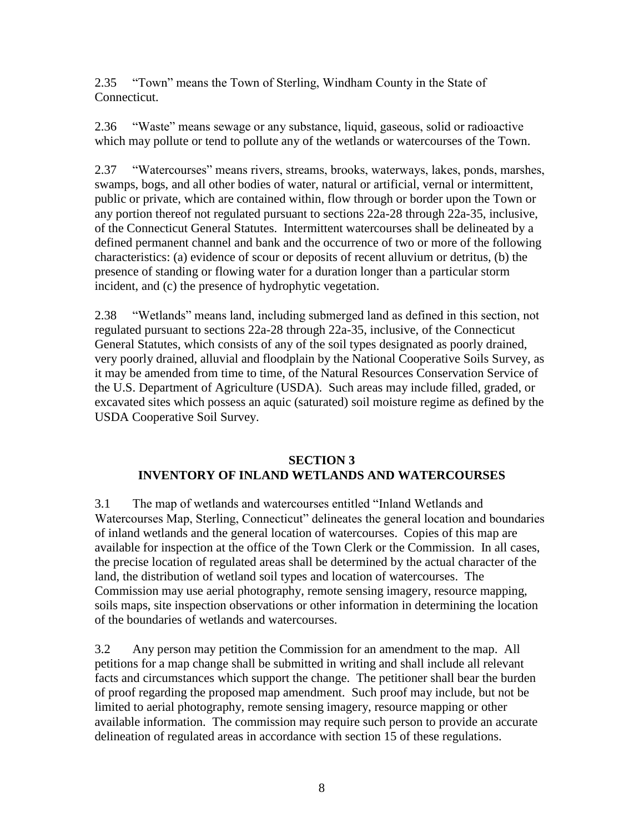2.35 "Town" means the Town of Sterling, Windham County in the State of Connecticut.

2.36 "Waste" means sewage or any substance, liquid, gaseous, solid or radioactive which may pollute or tend to pollute any of the wetlands or watercourses of the Town.

2.37 "Watercourses" means rivers, streams, brooks, waterways, lakes, ponds, marshes, swamps, bogs, and all other bodies of water, natural or artificial, vernal or intermittent, public or private, which are contained within, flow through or border upon the Town or any portion thereof not regulated pursuant to sections 22a-28 through 22a-35, inclusive, of the Connecticut General Statutes. Intermittent watercourses shall be delineated by a defined permanent channel and bank and the occurrence of two or more of the following characteristics: (a) evidence of scour or deposits of recent alluvium or detritus, (b) the presence of standing or flowing water for a duration longer than a particular storm incident, and (c) the presence of hydrophytic vegetation.

2.38 "Wetlands" means land, including submerged land as defined in this section, not regulated pursuant to sections 22a-28 through 22a-35, inclusive, of the Connecticut General Statutes, which consists of any of the soil types designated as poorly drained, very poorly drained, alluvial and floodplain by the National Cooperative Soils Survey, as it may be amended from time to time, of the Natural Resources Conservation Service of the U.S. Department of Agriculture (USDA). Such areas may include filled, graded, or excavated sites which possess an aquic (saturated) soil moisture regime as defined by the USDA Cooperative Soil Survey.

## **SECTION 3 INVENTORY OF INLAND WETLANDS AND WATERCOURSES**

3.1 The map of wetlands and watercourses entitled "Inland Wetlands and Watercourses Map, Sterling, Connecticut" delineates the general location and boundaries of inland wetlands and the general location of watercourses. Copies of this map are available for inspection at the office of the Town Clerk or the Commission. In all cases, the precise location of regulated areas shall be determined by the actual character of the land, the distribution of wetland soil types and location of watercourses. The Commission may use aerial photography, remote sensing imagery, resource mapping, soils maps, site inspection observations or other information in determining the location of the boundaries of wetlands and watercourses.

3.2 Any person may petition the Commission for an amendment to the map. All petitions for a map change shall be submitted in writing and shall include all relevant facts and circumstances which support the change. The petitioner shall bear the burden of proof regarding the proposed map amendment. Such proof may include, but not be limited to aerial photography, remote sensing imagery, resource mapping or other available information. The commission may require such person to provide an accurate delineation of regulated areas in accordance with section 15 of these regulations.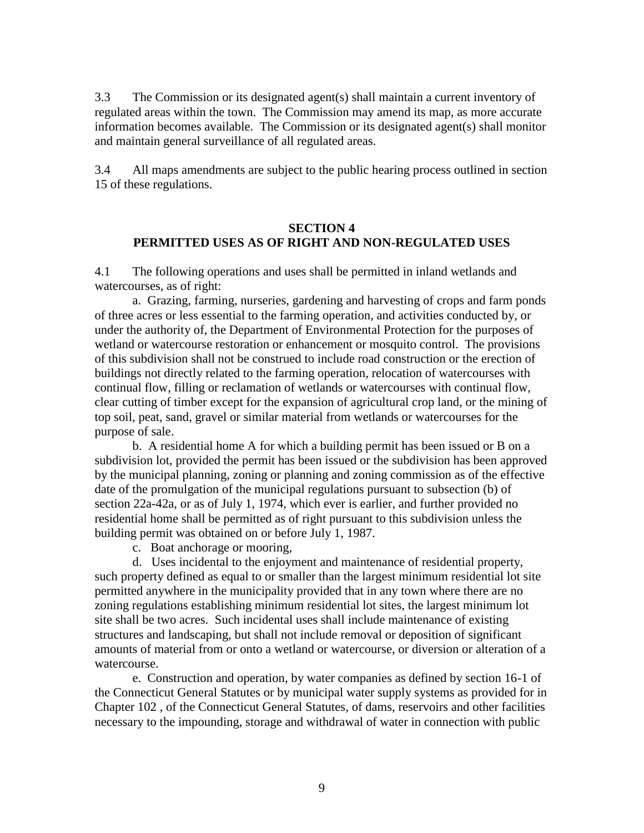3.3 The Commission or its designated agent(s) shall maintain a current inventory of regulated areas within the town. The Commission may amend its map, as more accurate information becomes available. The Commission or its designated agent(s) shall monitor and maintain general surveillance of all regulated areas.

3.4 All maps amendments are subject to the public hearing process outlined in section 15 of these regulations.

#### **SECTION 4 PERMITTED USES AS OF RIGHT AND NON-REGULATED USES**

4.1 The following operations and uses shall be permitted in inland wetlands and watercourses, as of right:

a. Grazing, farming, nurseries, gardening and harvesting of crops and farm ponds of three acres or less essential to the farming operation, and activities conducted by, or under the authority of, the Department of Environmental Protection for the purposes of wetland or watercourse restoration or enhancement or mosquito control. The provisions of this subdivision shall not be construed to include road construction or the erection of buildings not directly related to the farming operation, relocation of watercourses with continual flow, filling or reclamation of wetlands or watercourses with continual flow, clear cutting of timber except for the expansion of agricultural crop land, or the mining of top soil, peat, sand, gravel or similar material from wetlands or watercourses for the purpose of sale.

b. A residential home A for which a building permit has been issued or B on a subdivision lot, provided the permit has been issued or the subdivision has been approved by the municipal planning, zoning or planning and zoning commission as of the effective date of the promulgation of the municipal regulations pursuant to subsection (b) of section 22a-42a, or as of July 1, 1974, which ever is earlier, and further provided no residential home shall be permitted as of right pursuant to this subdivision unless the building permit was obtained on or before July 1, 1987.

c. Boat anchorage or mooring,

d. Uses incidental to the enjoyment and maintenance of residential property, such property defined as equal to or smaller than the largest minimum residential lot site permitted anywhere in the municipality provided that in any town where there are no zoning regulations establishing minimum residential lot sites, the largest minimum lot site shall be two acres. Such incidental uses shall include maintenance of existing structures and landscaping, but shall not include removal or deposition of significant amounts of material from or onto a wetland or watercourse, or diversion or alteration of a watercourse.

e. Construction and operation, by water companies as defined by section 16-1 of the Connecticut General Statutes or by municipal water supply systems as provided for in Chapter 102 , of the Connecticut General Statutes, of dams, reservoirs and other facilities necessary to the impounding, storage and withdrawal of water in connection with public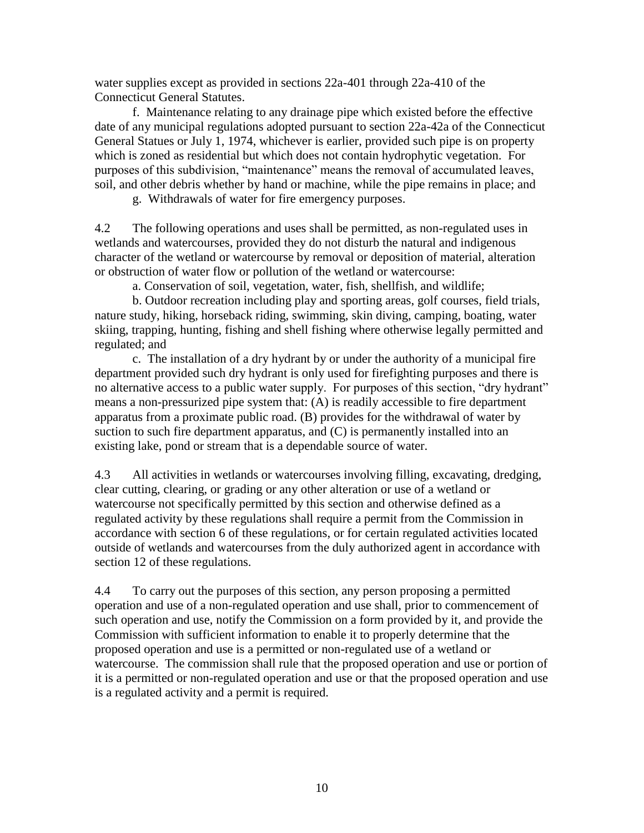water supplies except as provided in sections 22a-401 through 22a-410 of the Connecticut General Statutes.

f. Maintenance relating to any drainage pipe which existed before the effective date of any municipal regulations adopted pursuant to section 22a-42a of the Connecticut General Statues or July 1, 1974, whichever is earlier, provided such pipe is on property which is zoned as residential but which does not contain hydrophytic vegetation. For purposes of this subdivision, "maintenance" means the removal of accumulated leaves, soil, and other debris whether by hand or machine, while the pipe remains in place; and

g. Withdrawals of water for fire emergency purposes.

4.2 The following operations and uses shall be permitted, as non-regulated uses in wetlands and watercourses, provided they do not disturb the natural and indigenous character of the wetland or watercourse by removal or deposition of material, alteration or obstruction of water flow or pollution of the wetland or watercourse:

a. Conservation of soil, vegetation, water, fish, shellfish, and wildlife;

b. Outdoor recreation including play and sporting areas, golf courses, field trials, nature study, hiking, horseback riding, swimming, skin diving, camping, boating, water skiing, trapping, hunting, fishing and shell fishing where otherwise legally permitted and regulated; and

 c. The installation of a dry hydrant by or under the authority of a municipal fire department provided such dry hydrant is only used for firefighting purposes and there is no alternative access to a public water supply. For purposes of this section, "dry hydrant" means a non-pressurized pipe system that: (A) is readily accessible to fire department apparatus from a proximate public road. (B) provides for the withdrawal of water by suction to such fire department apparatus, and (C) is permanently installed into an existing lake, pond or stream that is a dependable source of water.

4.3 All activities in wetlands or watercourses involving filling, excavating, dredging, clear cutting, clearing, or grading or any other alteration or use of a wetland or watercourse not specifically permitted by this section and otherwise defined as a regulated activity by these regulations shall require a permit from the Commission in accordance with section 6 of these regulations, or for certain regulated activities located outside of wetlands and watercourses from the duly authorized agent in accordance with section 12 of these regulations.

4.4 To carry out the purposes of this section, any person proposing a permitted operation and use of a non-regulated operation and use shall, prior to commencement of such operation and use, notify the Commission on a form provided by it, and provide the Commission with sufficient information to enable it to properly determine that the proposed operation and use is a permitted or non-regulated use of a wetland or watercourse. The commission shall rule that the proposed operation and use or portion of it is a permitted or non-regulated operation and use or that the proposed operation and use is a regulated activity and a permit is required.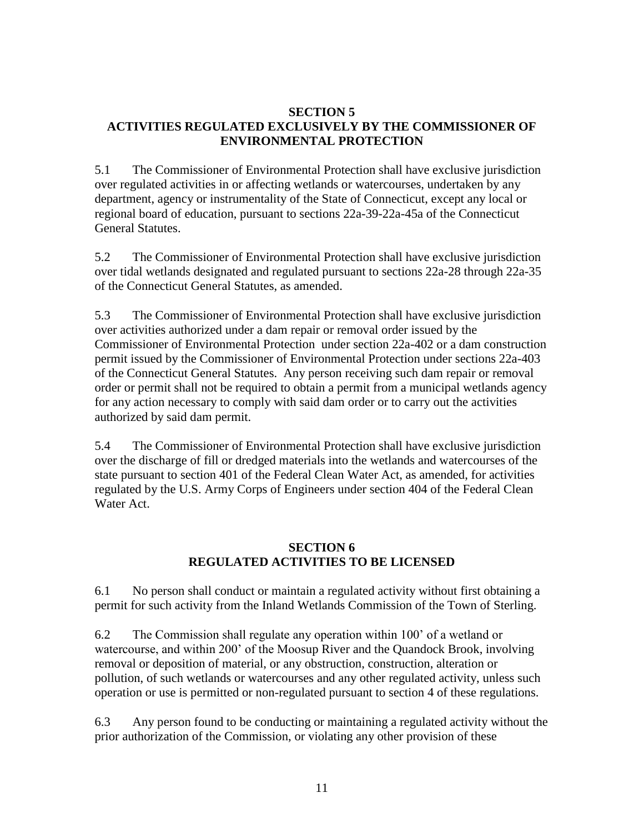#### **SECTION 5 ACTIVITIES REGULATED EXCLUSIVELY BY THE COMMISSIONER OF ENVIRONMENTAL PROTECTION**

5.1 The Commissioner of Environmental Protection shall have exclusive jurisdiction over regulated activities in or affecting wetlands or watercourses, undertaken by any department, agency or instrumentality of the State of Connecticut, except any local or regional board of education, pursuant to sections 22a-39-22a-45a of the Connecticut General Statutes.

5.2 The Commissioner of Environmental Protection shall have exclusive jurisdiction over tidal wetlands designated and regulated pursuant to sections 22a-28 through 22a-35 of the Connecticut General Statutes, as amended.

5.3 The Commissioner of Environmental Protection shall have exclusive jurisdiction over activities authorized under a dam repair or removal order issued by the Commissioner of Environmental Protection under section 22a-402 or a dam construction permit issued by the Commissioner of Environmental Protection under sections 22a-403 of the Connecticut General Statutes. Any person receiving such dam repair or removal order or permit shall not be required to obtain a permit from a municipal wetlands agency for any action necessary to comply with said dam order or to carry out the activities authorized by said dam permit.

5.4 The Commissioner of Environmental Protection shall have exclusive jurisdiction over the discharge of fill or dredged materials into the wetlands and watercourses of the state pursuant to section 401 of the Federal Clean Water Act, as amended, for activities regulated by the U.S. Army Corps of Engineers under section 404 of the Federal Clean Water Act.

## **SECTION 6 REGULATED ACTIVITIES TO BE LICENSED**

6.1 No person shall conduct or maintain a regulated activity without first obtaining a permit for such activity from the Inland Wetlands Commission of the Town of Sterling.

6.2 The Commission shall regulate any operation within 100' of a wetland or watercourse, and within 200' of the Moosup River and the Quandock Brook, involving removal or deposition of material, or any obstruction, construction, alteration or pollution, of such wetlands or watercourses and any other regulated activity, unless such operation or use is permitted or non-regulated pursuant to section 4 of these regulations.

6.3 Any person found to be conducting or maintaining a regulated activity without the prior authorization of the Commission, or violating any other provision of these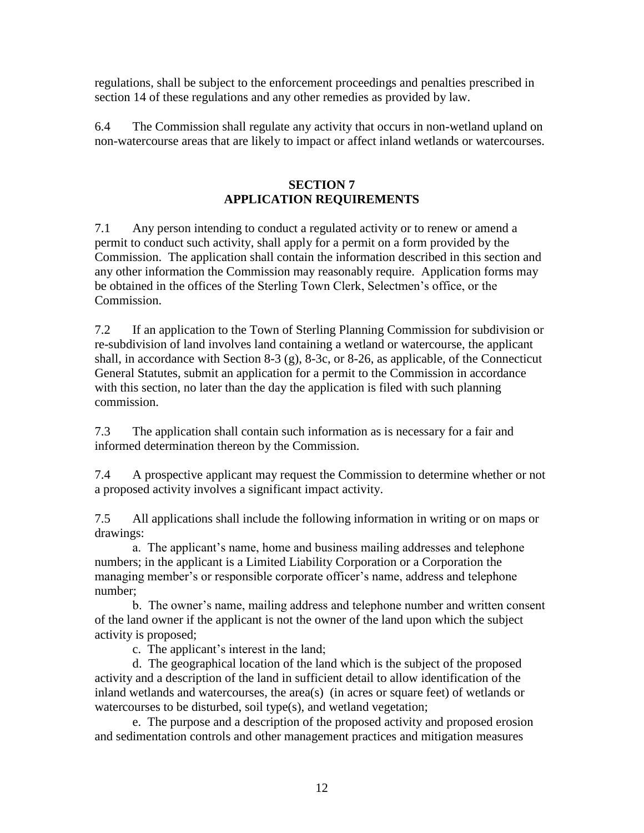regulations, shall be subject to the enforcement proceedings and penalties prescribed in section 14 of these regulations and any other remedies as provided by law.

6.4 The Commission shall regulate any activity that occurs in non-wetland upland on non-watercourse areas that are likely to impact or affect inland wetlands or watercourses.

## **SECTION 7 APPLICATION REQUIREMENTS**

7.1 Any person intending to conduct a regulated activity or to renew or amend a permit to conduct such activity, shall apply for a permit on a form provided by the Commission. The application shall contain the information described in this section and any other information the Commission may reasonably require. Application forms may be obtained in the offices of the Sterling Town Clerk, Selectmen's office, or the Commission.

7.2 If an application to the Town of Sterling Planning Commission for subdivision or re-subdivision of land involves land containing a wetland or watercourse, the applicant shall, in accordance with Section 8-3 (g), 8-3c, or 8-26, as applicable, of the Connecticut General Statutes, submit an application for a permit to the Commission in accordance with this section, no later than the day the application is filed with such planning commission.

7.3 The application shall contain such information as is necessary for a fair and informed determination thereon by the Commission.

7.4 A prospective applicant may request the Commission to determine whether or not a proposed activity involves a significant impact activity.

7.5 All applications shall include the following information in writing or on maps or drawings:

a. The applicant's name, home and business mailing addresses and telephone numbers; in the applicant is a Limited Liability Corporation or a Corporation the managing member's or responsible corporate officer's name, address and telephone number;

b. The owner's name, mailing address and telephone number and written consent of the land owner if the applicant is not the owner of the land upon which the subject activity is proposed;

c. The applicant's interest in the land;

d. The geographical location of the land which is the subject of the proposed activity and a description of the land in sufficient detail to allow identification of the inland wetlands and watercourses, the area(s) (in acres or square feet) of wetlands or watercourses to be disturbed, soil type(s), and wetland vegetation;

e. The purpose and a description of the proposed activity and proposed erosion and sedimentation controls and other management practices and mitigation measures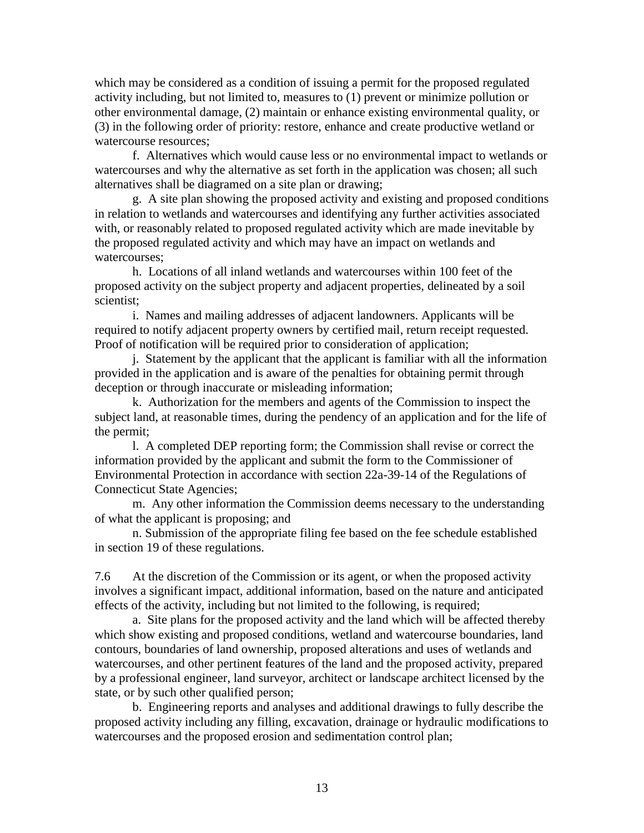which may be considered as a condition of issuing a permit for the proposed regulated activity including, but not limited to, measures to (1) prevent or minimize pollution or other environmental damage, (2) maintain or enhance existing environmental quality, or (3) in the following order of priority: restore, enhance and create productive wetland or watercourse resources;

f. Alternatives which would cause less or no environmental impact to wetlands or watercourses and why the alternative as set forth in the application was chosen; all such alternatives shall be diagramed on a site plan or drawing;

g. A site plan showing the proposed activity and existing and proposed conditions in relation to wetlands and watercourses and identifying any further activities associated with, or reasonably related to proposed regulated activity which are made inevitable by the proposed regulated activity and which may have an impact on wetlands and watercourses;

h. Locations of all inland wetlands and watercourses within 100 feet of the proposed activity on the subject property and adjacent properties, delineated by a soil scientist;

i. Names and mailing addresses of adjacent landowners. Applicants will be required to notify adjacent property owners by certified mail, return receipt requested. Proof of notification will be required prior to consideration of application;

j. Statement by the applicant that the applicant is familiar with all the information provided in the application and is aware of the penalties for obtaining permit through deception or through inaccurate or misleading information;

k. Authorization for the members and agents of the Commission to inspect the subject land, at reasonable times, during the pendency of an application and for the life of the permit;

l. A completed DEP reporting form; the Commission shall revise or correct the information provided by the applicant and submit the form to the Commissioner of Environmental Protection in accordance with section 22a-39-14 of the Regulations of Connecticut State Agencies;

m. Any other information the Commission deems necessary to the understanding of what the applicant is proposing; and

n. Submission of the appropriate filing fee based on the fee schedule established in section 19 of these regulations.

7.6 At the discretion of the Commission or its agent, or when the proposed activity involves a significant impact, additional information, based on the nature and anticipated effects of the activity, including but not limited to the following, is required;

a. Site plans for the proposed activity and the land which will be affected thereby which show existing and proposed conditions, wetland and watercourse boundaries, land contours, boundaries of land ownership, proposed alterations and uses of wetlands and watercourses, and other pertinent features of the land and the proposed activity, prepared by a professional engineer, land surveyor, architect or landscape architect licensed by the state, or by such other qualified person;

b. Engineering reports and analyses and additional drawings to fully describe the proposed activity including any filling, excavation, drainage or hydraulic modifications to watercourses and the proposed erosion and sedimentation control plan;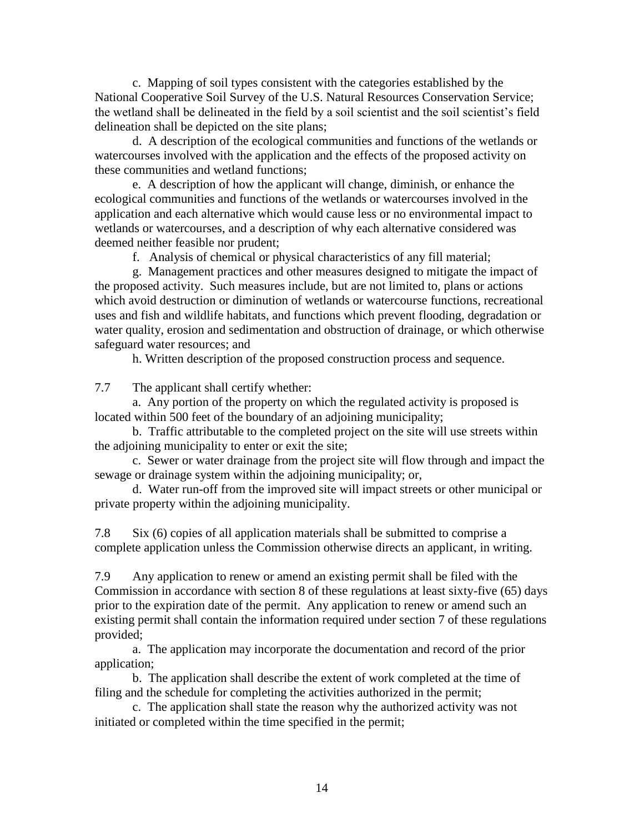c. Mapping of soil types consistent with the categories established by the National Cooperative Soil Survey of the U.S. Natural Resources Conservation Service; the wetland shall be delineated in the field by a soil scientist and the soil scientist's field delineation shall be depicted on the site plans;

d. A description of the ecological communities and functions of the wetlands or watercourses involved with the application and the effects of the proposed activity on these communities and wetland functions;

e. A description of how the applicant will change, diminish, or enhance the ecological communities and functions of the wetlands or watercourses involved in the application and each alternative which would cause less or no environmental impact to wetlands or watercourses, and a description of why each alternative considered was deemed neither feasible nor prudent;

f. Analysis of chemical or physical characteristics of any fill material;

g. Management practices and other measures designed to mitigate the impact of the proposed activity. Such measures include, but are not limited to, plans or actions which avoid destruction or diminution of wetlands or watercourse functions, recreational uses and fish and wildlife habitats, and functions which prevent flooding, degradation or water quality, erosion and sedimentation and obstruction of drainage, or which otherwise safeguard water resources; and

h. Written description of the proposed construction process and sequence.

7.7 The applicant shall certify whether:

a. Any portion of the property on which the regulated activity is proposed is located within 500 feet of the boundary of an adjoining municipality;

b. Traffic attributable to the completed project on the site will use streets within the adjoining municipality to enter or exit the site;

c. Sewer or water drainage from the project site will flow through and impact the sewage or drainage system within the adjoining municipality; or,

d. Water run-off from the improved site will impact streets or other municipal or private property within the adjoining municipality.

7.8 Six (6) copies of all application materials shall be submitted to comprise a complete application unless the Commission otherwise directs an applicant, in writing.

7.9 Any application to renew or amend an existing permit shall be filed with the Commission in accordance with section 8 of these regulations at least sixty-five (65) days prior to the expiration date of the permit. Any application to renew or amend such an existing permit shall contain the information required under section 7 of these regulations provided;

a. The application may incorporate the documentation and record of the prior application;

b. The application shall describe the extent of work completed at the time of filing and the schedule for completing the activities authorized in the permit;

c. The application shall state the reason why the authorized activity was not initiated or completed within the time specified in the permit;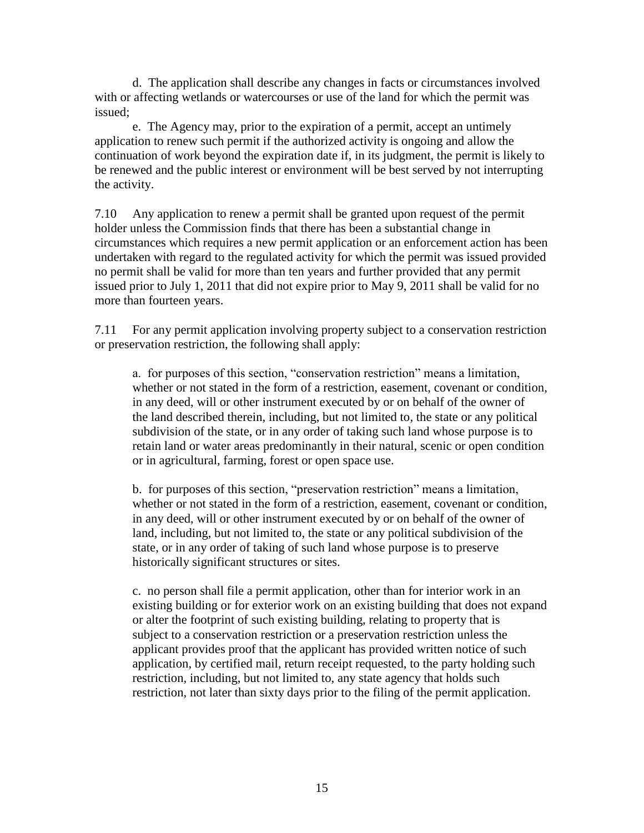d. The application shall describe any changes in facts or circumstances involved with or affecting wetlands or watercourses or use of the land for which the permit was issued;

e. The Agency may, prior to the expiration of a permit, accept an untimely application to renew such permit if the authorized activity is ongoing and allow the continuation of work beyond the expiration date if, in its judgment, the permit is likely to be renewed and the public interest or environment will be best served by not interrupting the activity.

7.10 Any application to renew a permit shall be granted upon request of the permit holder unless the Commission finds that there has been a substantial change in circumstances which requires a new permit application or an enforcement action has been undertaken with regard to the regulated activity for which the permit was issued provided no permit shall be valid for more than ten years and further provided that any permit issued prior to July 1, 2011 that did not expire prior to May 9, 2011 shall be valid for no more than fourteen years.

7.11 For any permit application involving property subject to a conservation restriction or preservation restriction, the following shall apply:

a. for purposes of this section, "conservation restriction" means a limitation, whether or not stated in the form of a restriction, easement, covenant or condition, in any deed, will or other instrument executed by or on behalf of the owner of the land described therein, including, but not limited to*,* the state or any political subdivision of the state, or in any order of taking such land whose purpose is to retain land or water areas predominantly in their natural, scenic or open condition or in agricultural, farming, forest or open space use.

b. for purposes of this section, "preservation restriction" means a limitation, whether or not stated in the form of a restriction, easement, covenant or condition, in any deed, will or other instrument executed by or on behalf of the owner of land, including, but not limited to, the state or any political subdivision of the state, or in any order of taking of such land whose purpose is to preserve historically significant structures or sites.

c. no person shall file a permit application, other than for interior work in an existing building or for exterior work on an existing building that does not expand or alter the footprint of such existing building, relating to property that is subject to a conservation restriction or a preservation restriction unless the applicant provides proof that the applicant has provided written notice of such application, by certified mail, return receipt requested, to the party holding such restriction*,* including, but not limited to, any state agency that holds such restriction, not later than sixty days prior to the filing of the permit application.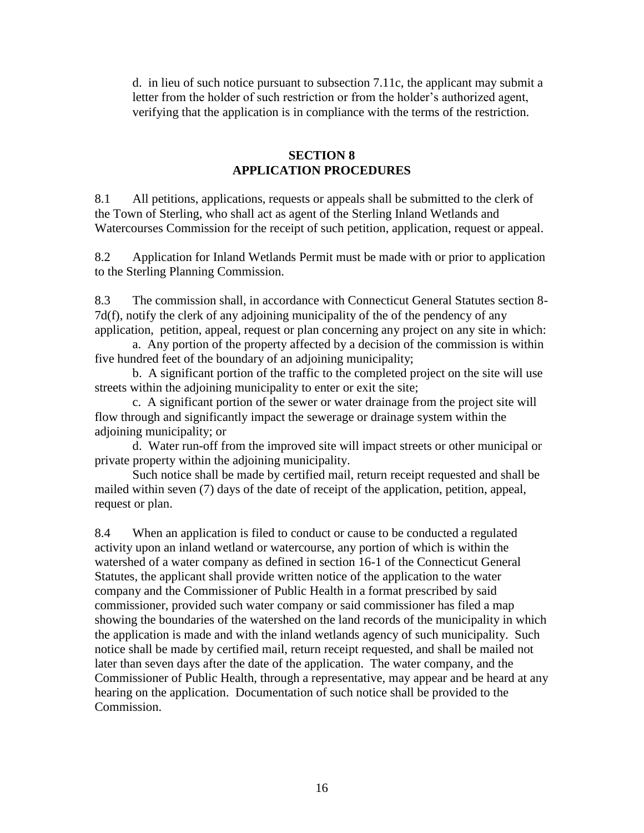d. in lieu of such notice pursuant to subsection 7.11c, the applicant may submit a letter from the holder of such restriction or from the holder's authorized agent, verifying that the application is in compliance with the terms of the restriction.

## **SECTION 8 APPLICATION PROCEDURES**

8.1 All petitions, applications, requests or appeals shall be submitted to the clerk of the Town of Sterling, who shall act as agent of the Sterling Inland Wetlands and Watercourses Commission for the receipt of such petition, application, request or appeal.

8.2 Application for Inland Wetlands Permit must be made with or prior to application to the Sterling Planning Commission.

8.3 The commission shall, in accordance with Connecticut General Statutes section 8- 7d(f), notify the clerk of any adjoining municipality of the of the pendency of any application, petition, appeal, request or plan concerning any project on any site in which:

a. Any portion of the property affected by a decision of the commission is within five hundred feet of the boundary of an adjoining municipality;

b. A significant portion of the traffic to the completed project on the site will use streets within the adjoining municipality to enter or exit the site;

c. A significant portion of the sewer or water drainage from the project site will flow through and significantly impact the sewerage or drainage system within the adjoining municipality; or

d. Water run-off from the improved site will impact streets or other municipal or private property within the adjoining municipality.

Such notice shall be made by certified mail, return receipt requested and shall be mailed within seven (7) days of the date of receipt of the application, petition, appeal, request or plan.

8.4 When an application is filed to conduct or cause to be conducted a regulated activity upon an inland wetland or watercourse, any portion of which is within the watershed of a water company as defined in section 16-1 of the Connecticut General Statutes, the applicant shall provide written notice of the application to the water company and the Commissioner of Public Health in a format prescribed by said commissioner, provided such water company or said commissioner has filed a map showing the boundaries of the watershed on the land records of the municipality in which the application is made and with the inland wetlands agency of such municipality. Such notice shall be made by certified mail, return receipt requested, and shall be mailed not later than seven days after the date of the application. The water company, and the Commissioner of Public Health, through a representative, may appear and be heard at any hearing on the application. Documentation of such notice shall be provided to the Commission.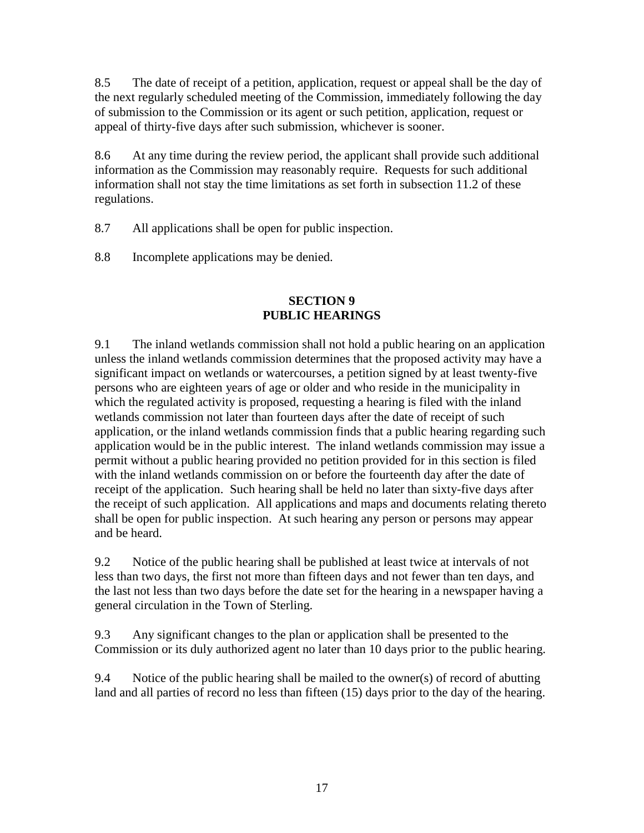8.5 The date of receipt of a petition, application, request or appeal shall be the day of the next regularly scheduled meeting of the Commission, immediately following the day of submission to the Commission or its agent or such petition, application, request or appeal of thirty-five days after such submission, whichever is sooner.

8.6 At any time during the review period, the applicant shall provide such additional information as the Commission may reasonably require. Requests for such additional information shall not stay the time limitations as set forth in subsection 11.2 of these regulations.

8.7 All applications shall be open for public inspection.

8.8 Incomplete applications may be denied.

## **SECTION 9 PUBLIC HEARINGS**

9.1 The inland wetlands commission shall not hold a public hearing on an application unless the inland wetlands commission determines that the proposed activity may have a significant impact on wetlands or watercourses, a petition signed by at least twenty-five persons who are eighteen years of age or older and who reside in the municipality in which the regulated activity is proposed, requesting a hearing is filed with the inland wetlands commission not later than fourteen days after the date of receipt of such application, or the inland wetlands commission finds that a public hearing regarding such application would be in the public interest. The inland wetlands commission may issue a permit without a public hearing provided no petition provided for in this section is filed with the inland wetlands commission on or before the fourteenth day after the date of receipt of the application. Such hearing shall be held no later than sixty-five days after the receipt of such application. All applications and maps and documents relating thereto shall be open for public inspection. At such hearing any person or persons may appear and be heard.

9.2 Notice of the public hearing shall be published at least twice at intervals of not less than two days, the first not more than fifteen days and not fewer than ten days, and the last not less than two days before the date set for the hearing in a newspaper having a general circulation in the Town of Sterling.

9.3 Any significant changes to the plan or application shall be presented to the Commission or its duly authorized agent no later than 10 days prior to the public hearing.

9.4 Notice of the public hearing shall be mailed to the owner(s) of record of abutting land and all parties of record no less than fifteen (15) days prior to the day of the hearing.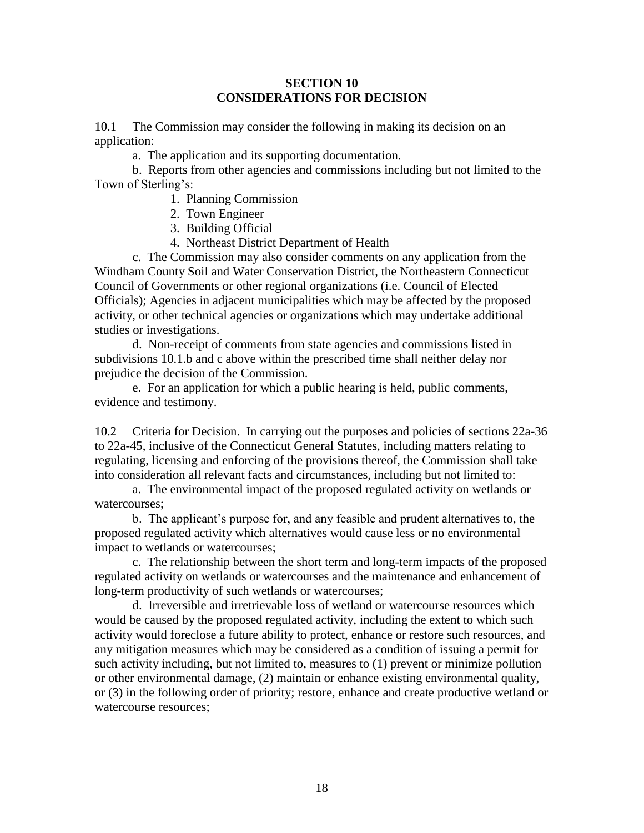#### **SECTION 10 CONSIDERATIONS FOR DECISION**

10.1 The Commission may consider the following in making its decision on an application:

a. The application and its supporting documentation.

b. Reports from other agencies and commissions including but not limited to the Town of Sterling's:

- 1. Planning Commission
- 2. Town Engineer
- 3. Building Official
- 4. Northeast District Department of Health

c. The Commission may also consider comments on any application from the Windham County Soil and Water Conservation District, the Northeastern Connecticut Council of Governments or other regional organizations (i.e. Council of Elected Officials); Agencies in adjacent municipalities which may be affected by the proposed activity, or other technical agencies or organizations which may undertake additional studies or investigations.

d. Non-receipt of comments from state agencies and commissions listed in subdivisions 10.1.b and c above within the prescribed time shall neither delay nor prejudice the decision of the Commission.

e. For an application for which a public hearing is held, public comments, evidence and testimony.

10.2 Criteria for Decision. In carrying out the purposes and policies of sections 22a-36 to 22a-45, inclusive of the Connecticut General Statutes, including matters relating to regulating, licensing and enforcing of the provisions thereof, the Commission shall take into consideration all relevant facts and circumstances, including but not limited to:

a. The environmental impact of the proposed regulated activity on wetlands or watercourses;

b. The applicant's purpose for, and any feasible and prudent alternatives to, the proposed regulated activity which alternatives would cause less or no environmental impact to wetlands or watercourses;

c. The relationship between the short term and long-term impacts of the proposed regulated activity on wetlands or watercourses and the maintenance and enhancement of long-term productivity of such wetlands or watercourses;

d. Irreversible and irretrievable loss of wetland or watercourse resources which would be caused by the proposed regulated activity, including the extent to which such activity would foreclose a future ability to protect, enhance or restore such resources, and any mitigation measures which may be considered as a condition of issuing a permit for such activity including, but not limited to, measures to (1) prevent or minimize pollution or other environmental damage, (2) maintain or enhance existing environmental quality, or (3) in the following order of priority; restore, enhance and create productive wetland or watercourse resources;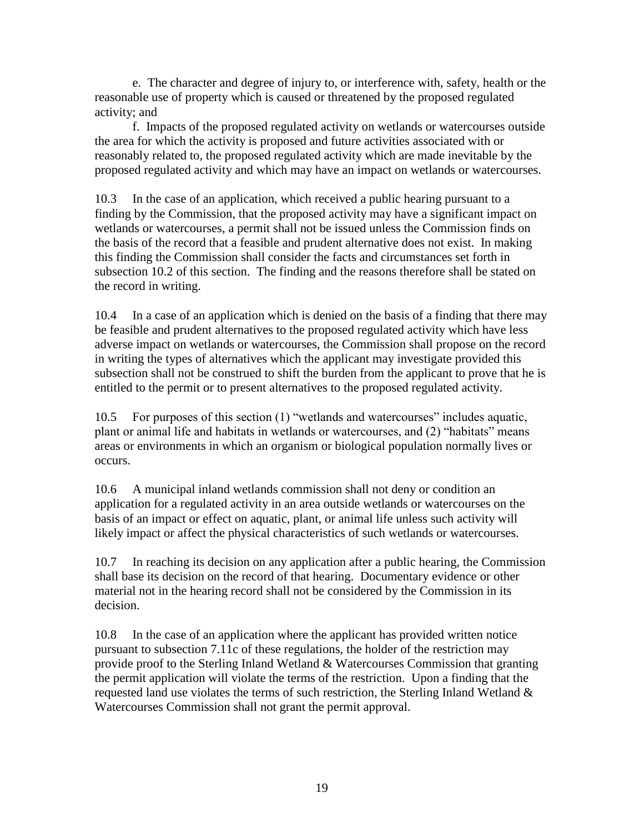e. The character and degree of injury to, or interference with, safety, health or the reasonable use of property which is caused or threatened by the proposed regulated activity; and

f. Impacts of the proposed regulated activity on wetlands or watercourses outside the area for which the activity is proposed and future activities associated with or reasonably related to, the proposed regulated activity which are made inevitable by the proposed regulated activity and which may have an impact on wetlands or watercourses.

10.3 In the case of an application, which received a public hearing pursuant to a finding by the Commission, that the proposed activity may have a significant impact on wetlands or watercourses, a permit shall not be issued unless the Commission finds on the basis of the record that a feasible and prudent alternative does not exist. In making this finding the Commission shall consider the facts and circumstances set forth in subsection 10.2 of this section. The finding and the reasons therefore shall be stated on the record in writing.

10.4 In a case of an application which is denied on the basis of a finding that there may be feasible and prudent alternatives to the proposed regulated activity which have less adverse impact on wetlands or watercourses, the Commission shall propose on the record in writing the types of alternatives which the applicant may investigate provided this subsection shall not be construed to shift the burden from the applicant to prove that he is entitled to the permit or to present alternatives to the proposed regulated activity.

10.5 For purposes of this section (1) "wetlands and watercourses" includes aquatic, plant or animal life and habitats in wetlands or watercourses, and (2) "habitats" means areas or environments in which an organism or biological population normally lives or occurs.

10.6 A municipal inland wetlands commission shall not deny or condition an application for a regulated activity in an area outside wetlands or watercourses on the basis of an impact or effect on aquatic, plant, or animal life unless such activity will likely impact or affect the physical characteristics of such wetlands or watercourses.

10.7 In reaching its decision on any application after a public hearing, the Commission shall base its decision on the record of that hearing. Documentary evidence or other material not in the hearing record shall not be considered by the Commission in its decision.

10.8 In the case of an application where the applicant has provided written notice pursuant to subsection 7.11c of these regulations, the holder of the restriction may provide proof to the Sterling Inland Wetland & Watercourses Commission that granting the permit application will violate the terms of the restriction. Upon a finding that the requested land use violates the terms of such restriction, the Sterling Inland Wetland & Watercourses Commission shall not grant the permit approval.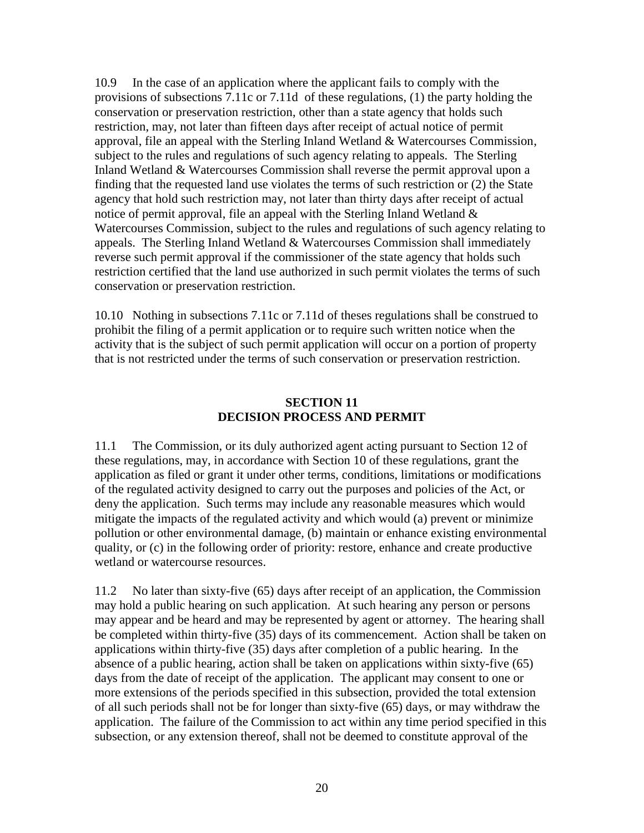10.9 In the case of an application where the applicant fails to comply with the provisions of subsections 7.11c or 7.11d of these regulations, (1) the party holding the conservation or preservation restriction, other than a state agency that holds such restriction, may, not later than fifteen days after receipt of actual notice of permit approval, file an appeal with the Sterling Inland Wetland & Watercourses Commission, subject to the rules and regulations of such agency relating to appeals. The Sterling Inland Wetland & Watercourses Commission shall reverse the permit approval upon a finding that the requested land use violates the terms of such restriction or (2) the State agency that hold such restriction may, not later than thirty days after receipt of actual notice of permit approval, file an appeal with the Sterling Inland Wetland  $\&$ Watercourses Commission, subject to the rules and regulations of such agency relating to appeals. The Sterling Inland Wetland & Watercourses Commission shall immediately reverse such permit approval if the commissioner of the state agency that holds such restriction certified that the land use authorized in such permit violates the terms of such conservation or preservation restriction.

10.10 Nothing in subsections 7.11c or 7.11d of theses regulations shall be construed to prohibit the filing of a permit application or to require such written notice when the activity that is the subject of such permit application will occur on a portion of property that is not restricted under the terms of such conservation or preservation restriction.

### **SECTION 11 DECISION PROCESS AND PERMIT**

11.1 The Commission, or its duly authorized agent acting pursuant to Section 12 of these regulations, may, in accordance with Section 10 of these regulations, grant the application as filed or grant it under other terms, conditions, limitations or modifications of the regulated activity designed to carry out the purposes and policies of the Act, or deny the application. Such terms may include any reasonable measures which would mitigate the impacts of the regulated activity and which would (a) prevent or minimize pollution or other environmental damage, (b) maintain or enhance existing environmental quality, or (c) in the following order of priority: restore, enhance and create productive wetland or watercourse resources.

11.2 No later than sixty-five (65) days after receipt of an application, the Commission may hold a public hearing on such application. At such hearing any person or persons may appear and be heard and may be represented by agent or attorney. The hearing shall be completed within thirty-five (35) days of its commencement. Action shall be taken on applications within thirty-five (35) days after completion of a public hearing. In the absence of a public hearing, action shall be taken on applications within sixty-five (65) days from the date of receipt of the application. The applicant may consent to one or more extensions of the periods specified in this subsection, provided the total extension of all such periods shall not be for longer than sixty-five (65) days, or may withdraw the application. The failure of the Commission to act within any time period specified in this subsection, or any extension thereof, shall not be deemed to constitute approval of the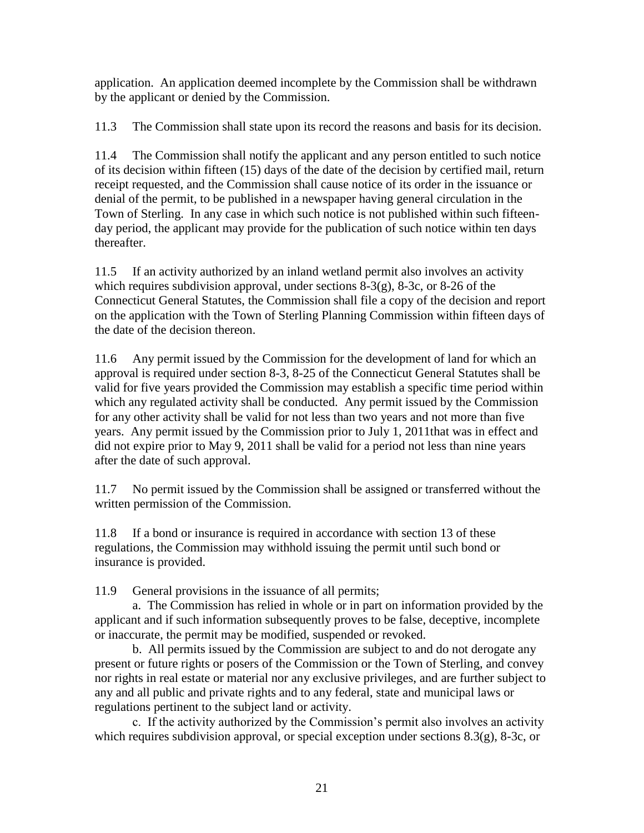application. An application deemed incomplete by the Commission shall be withdrawn by the applicant or denied by the Commission.

11.3 The Commission shall state upon its record the reasons and basis for its decision.

11.4 The Commission shall notify the applicant and any person entitled to such notice of its decision within fifteen (15) days of the date of the decision by certified mail, return receipt requested, and the Commission shall cause notice of its order in the issuance or denial of the permit, to be published in a newspaper having general circulation in the Town of Sterling. In any case in which such notice is not published within such fifteenday period, the applicant may provide for the publication of such notice within ten days thereafter.

11.5 If an activity authorized by an inland wetland permit also involves an activity which requires subdivision approval, under sections 8-3(g), 8-3c, or 8-26 of the Connecticut General Statutes, the Commission shall file a copy of the decision and report on the application with the Town of Sterling Planning Commission within fifteen days of the date of the decision thereon.

11.6 Any permit issued by the Commission for the development of land for which an approval is required under section 8-3, 8-25 of the Connecticut General Statutes shall be valid for five years provided the Commission may establish a specific time period within which any regulated activity shall be conducted. Any permit issued by the Commission for any other activity shall be valid for not less than two years and not more than five years. Any permit issued by the Commission prior to July 1, 2011that was in effect and did not expire prior to May 9, 2011 shall be valid for a period not less than nine years after the date of such approval.

11.7 No permit issued by the Commission shall be assigned or transferred without the written permission of the Commission.

11.8 If a bond or insurance is required in accordance with section 13 of these regulations, the Commission may withhold issuing the permit until such bond or insurance is provided.

11.9 General provisions in the issuance of all permits;

a. The Commission has relied in whole or in part on information provided by the applicant and if such information subsequently proves to be false, deceptive, incomplete or inaccurate, the permit may be modified, suspended or revoked.

b. All permits issued by the Commission are subject to and do not derogate any present or future rights or posers of the Commission or the Town of Sterling, and convey nor rights in real estate or material nor any exclusive privileges, and are further subject to any and all public and private rights and to any federal, state and municipal laws or regulations pertinent to the subject land or activity.

c. If the activity authorized by the Commission's permit also involves an activity which requires subdivision approval, or special exception under sections 8.3(g), 8-3c, or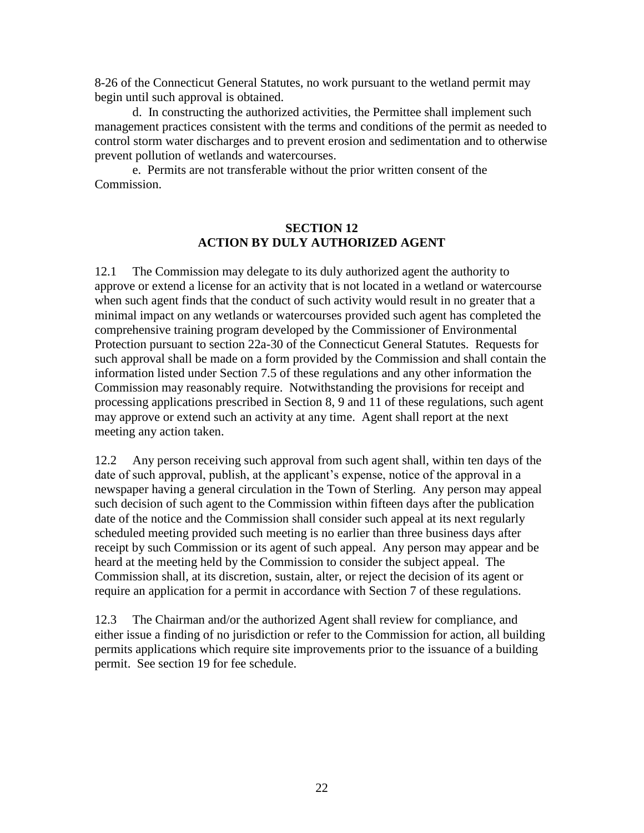8-26 of the Connecticut General Statutes, no work pursuant to the wetland permit may begin until such approval is obtained.

d. In constructing the authorized activities, the Permittee shall implement such management practices consistent with the terms and conditions of the permit as needed to control storm water discharges and to prevent erosion and sedimentation and to otherwise prevent pollution of wetlands and watercourses.

e. Permits are not transferable without the prior written consent of the Commission.

### **SECTION 12 ACTION BY DULY AUTHORIZED AGENT**

12.1 The Commission may delegate to its duly authorized agent the authority to approve or extend a license for an activity that is not located in a wetland or watercourse when such agent finds that the conduct of such activity would result in no greater that a minimal impact on any wetlands or watercourses provided such agent has completed the comprehensive training program developed by the Commissioner of Environmental Protection pursuant to section 22a-30 of the Connecticut General Statutes. Requests for such approval shall be made on a form provided by the Commission and shall contain the information listed under Section 7.5 of these regulations and any other information the Commission may reasonably require. Notwithstanding the provisions for receipt and processing applications prescribed in Section 8, 9 and 11 of these regulations, such agent may approve or extend such an activity at any time. Agent shall report at the next meeting any action taken.

12.2 Any person receiving such approval from such agent shall, within ten days of the date of such approval, publish, at the applicant's expense, notice of the approval in a newspaper having a general circulation in the Town of Sterling. Any person may appeal such decision of such agent to the Commission within fifteen days after the publication date of the notice and the Commission shall consider such appeal at its next regularly scheduled meeting provided such meeting is no earlier than three business days after receipt by such Commission or its agent of such appeal. Any person may appear and be heard at the meeting held by the Commission to consider the subject appeal. The Commission shall, at its discretion, sustain, alter, or reject the decision of its agent or require an application for a permit in accordance with Section 7 of these regulations.

12.3 The Chairman and/or the authorized Agent shall review for compliance, and either issue a finding of no jurisdiction or refer to the Commission for action, all building permits applications which require site improvements prior to the issuance of a building permit. See section 19 for fee schedule.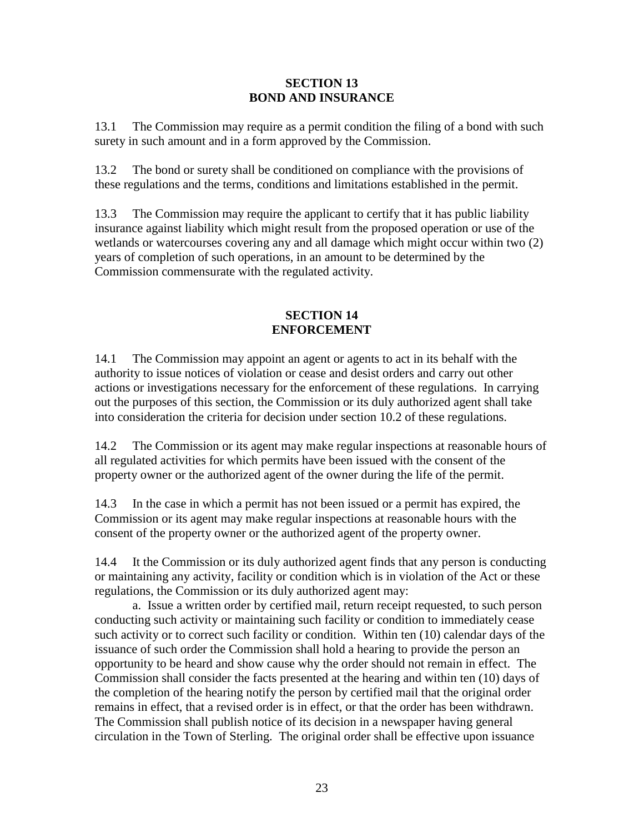#### **SECTION 13 BOND AND INSURANCE**

13.1 The Commission may require as a permit condition the filing of a bond with such surety in such amount and in a form approved by the Commission.

13.2 The bond or surety shall be conditioned on compliance with the provisions of these regulations and the terms, conditions and limitations established in the permit.

13.3 The Commission may require the applicant to certify that it has public liability insurance against liability which might result from the proposed operation or use of the wetlands or watercourses covering any and all damage which might occur within two (2) years of completion of such operations, in an amount to be determined by the Commission commensurate with the regulated activity.

## **SECTION 14 ENFORCEMENT**

14.1 The Commission may appoint an agent or agents to act in its behalf with the authority to issue notices of violation or cease and desist orders and carry out other actions or investigations necessary for the enforcement of these regulations. In carrying out the purposes of this section, the Commission or its duly authorized agent shall take into consideration the criteria for decision under section 10.2 of these regulations.

14.2 The Commission or its agent may make regular inspections at reasonable hours of all regulated activities for which permits have been issued with the consent of the property owner or the authorized agent of the owner during the life of the permit.

14.3 In the case in which a permit has not been issued or a permit has expired, the Commission or its agent may make regular inspections at reasonable hours with the consent of the property owner or the authorized agent of the property owner.

14.4 It the Commission or its duly authorized agent finds that any person is conducting or maintaining any activity, facility or condition which is in violation of the Act or these regulations, the Commission or its duly authorized agent may:

a. Issue a written order by certified mail, return receipt requested, to such person conducting such activity or maintaining such facility or condition to immediately cease such activity or to correct such facility or condition. Within ten (10) calendar days of the issuance of such order the Commission shall hold a hearing to provide the person an opportunity to be heard and show cause why the order should not remain in effect. The Commission shall consider the facts presented at the hearing and within ten (10) days of the completion of the hearing notify the person by certified mail that the original order remains in effect, that a revised order is in effect, or that the order has been withdrawn. The Commission shall publish notice of its decision in a newspaper having general circulation in the Town of Sterling. The original order shall be effective upon issuance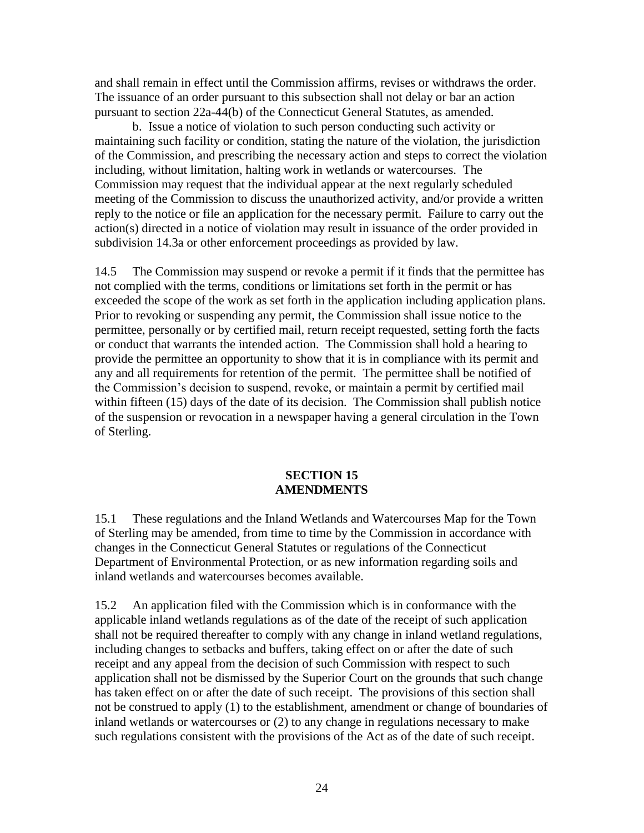and shall remain in effect until the Commission affirms, revises or withdraws the order. The issuance of an order pursuant to this subsection shall not delay or bar an action pursuant to section 22a-44(b) of the Connecticut General Statutes, as amended.

b. Issue a notice of violation to such person conducting such activity or maintaining such facility or condition, stating the nature of the violation, the jurisdiction of the Commission, and prescribing the necessary action and steps to correct the violation including, without limitation, halting work in wetlands or watercourses. The Commission may request that the individual appear at the next regularly scheduled meeting of the Commission to discuss the unauthorized activity, and/or provide a written reply to the notice or file an application for the necessary permit. Failure to carry out the action(s) directed in a notice of violation may result in issuance of the order provided in subdivision 14.3a or other enforcement proceedings as provided by law.

14.5 The Commission may suspend or revoke a permit if it finds that the permittee has not complied with the terms, conditions or limitations set forth in the permit or has exceeded the scope of the work as set forth in the application including application plans. Prior to revoking or suspending any permit, the Commission shall issue notice to the permittee, personally or by certified mail, return receipt requested, setting forth the facts or conduct that warrants the intended action. The Commission shall hold a hearing to provide the permittee an opportunity to show that it is in compliance with its permit and any and all requirements for retention of the permit. The permittee shall be notified of the Commission's decision to suspend, revoke, or maintain a permit by certified mail within fifteen (15) days of the date of its decision. The Commission shall publish notice of the suspension or revocation in a newspaper having a general circulation in the Town of Sterling.

#### **SECTION 15 AMENDMENTS**

15.1 These regulations and the Inland Wetlands and Watercourses Map for the Town of Sterling may be amended, from time to time by the Commission in accordance with changes in the Connecticut General Statutes or regulations of the Connecticut Department of Environmental Protection, or as new information regarding soils and inland wetlands and watercourses becomes available.

15.2 An application filed with the Commission which is in conformance with the applicable inland wetlands regulations as of the date of the receipt of such application shall not be required thereafter to comply with any change in inland wetland regulations, including changes to setbacks and buffers, taking effect on or after the date of such receipt and any appeal from the decision of such Commission with respect to such application shall not be dismissed by the Superior Court on the grounds that such change has taken effect on or after the date of such receipt. The provisions of this section shall not be construed to apply (1) to the establishment, amendment or change of boundaries of inland wetlands or watercourses or (2) to any change in regulations necessary to make such regulations consistent with the provisions of the Act as of the date of such receipt.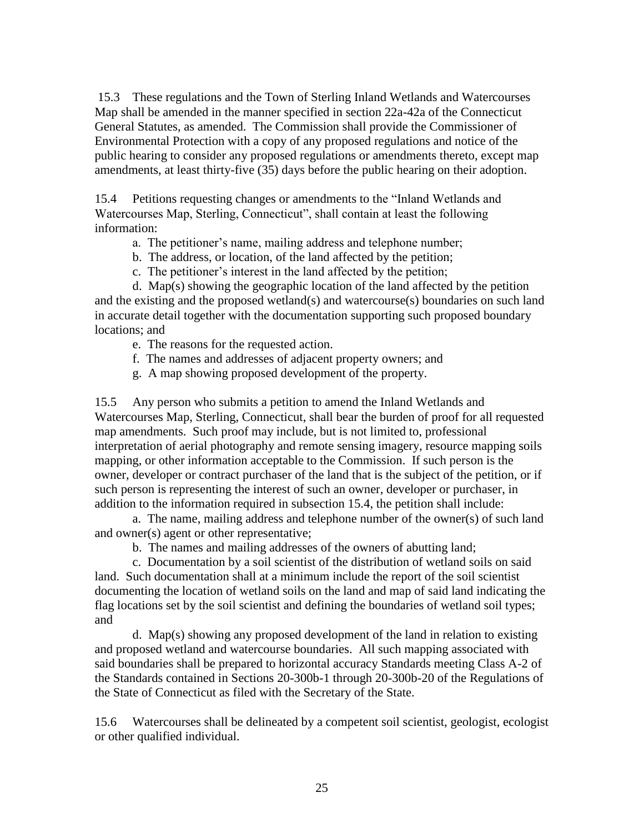15.3 These regulations and the Town of Sterling Inland Wetlands and Watercourses Map shall be amended in the manner specified in section 22a-42a of the Connecticut General Statutes, as amended. The Commission shall provide the Commissioner of Environmental Protection with a copy of any proposed regulations and notice of the public hearing to consider any proposed regulations or amendments thereto, except map amendments, at least thirty-five (35) days before the public hearing on their adoption.

15.4 Petitions requesting changes or amendments to the "Inland Wetlands and Watercourses Map, Sterling, Connecticut", shall contain at least the following information:

- a. The petitioner's name, mailing address and telephone number;
- b. The address, or location, of the land affected by the petition;
- c. The petitioner's interest in the land affected by the petition;

d. Map(s) showing the geographic location of the land affected by the petition and the existing and the proposed wetland(s) and watercourse(s) boundaries on such land in accurate detail together with the documentation supporting such proposed boundary locations; and

- e. The reasons for the requested action.
- f. The names and addresses of adjacent property owners; and
- g. A map showing proposed development of the property.

15.5 Any person who submits a petition to amend the Inland Wetlands and Watercourses Map, Sterling, Connecticut, shall bear the burden of proof for all requested map amendments. Such proof may include, but is not limited to, professional interpretation of aerial photography and remote sensing imagery, resource mapping soils mapping, or other information acceptable to the Commission. If such person is the owner, developer or contract purchaser of the land that is the subject of the petition, or if such person is representing the interest of such an owner, developer or purchaser, in addition to the information required in subsection 15.4, the petition shall include:

a. The name, mailing address and telephone number of the owner(s) of such land and owner(s) agent or other representative;

b. The names and mailing addresses of the owners of abutting land;

c. Documentation by a soil scientist of the distribution of wetland soils on said land. Such documentation shall at a minimum include the report of the soil scientist documenting the location of wetland soils on the land and map of said land indicating the flag locations set by the soil scientist and defining the boundaries of wetland soil types; and

d. Map(s) showing any proposed development of the land in relation to existing and proposed wetland and watercourse boundaries. All such mapping associated with said boundaries shall be prepared to horizontal accuracy Standards meeting Class A-2 of the Standards contained in Sections 20-300b-1 through 20-300b-20 of the Regulations of the State of Connecticut as filed with the Secretary of the State.

15.6 Watercourses shall be delineated by a competent soil scientist, geologist, ecologist or other qualified individual.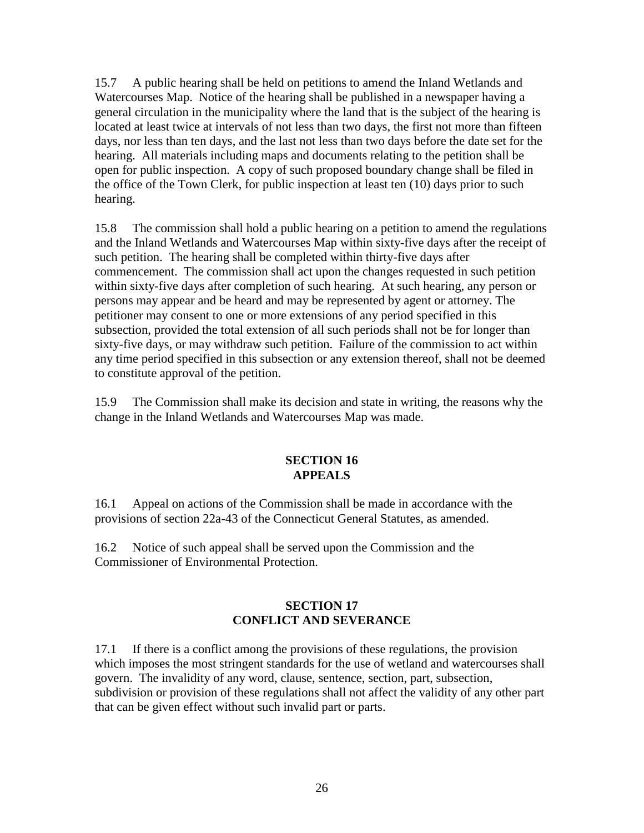15.7 A public hearing shall be held on petitions to amend the Inland Wetlands and Watercourses Map. Notice of the hearing shall be published in a newspaper having a general circulation in the municipality where the land that is the subject of the hearing is located at least twice at intervals of not less than two days, the first not more than fifteen days, nor less than ten days, and the last not less than two days before the date set for the hearing. All materials including maps and documents relating to the petition shall be open for public inspection. A copy of such proposed boundary change shall be filed in the office of the Town Clerk, for public inspection at least ten (10) days prior to such hearing.

15.8 The commission shall hold a public hearing on a petition to amend the regulations and the Inland Wetlands and Watercourses Map within sixty-five days after the receipt of such petition. The hearing shall be completed within thirty-five days after commencement. The commission shall act upon the changes requested in such petition within sixty-five days after completion of such hearing. At such hearing, any person or persons may appear and be heard and may be represented by agent or attorney. The petitioner may consent to one or more extensions of any period specified in this subsection, provided the total extension of all such periods shall not be for longer than sixty-five days, or may withdraw such petition. Failure of the commission to act within any time period specified in this subsection or any extension thereof, shall not be deemed to constitute approval of the petition.

15.9 The Commission shall make its decision and state in writing, the reasons why the change in the Inland Wetlands and Watercourses Map was made.

## **SECTION 16 APPEALS**

16.1 Appeal on actions of the Commission shall be made in accordance with the provisions of section 22a-43 of the Connecticut General Statutes, as amended.

16.2 Notice of such appeal shall be served upon the Commission and the Commissioner of Environmental Protection.

## **SECTION 17 CONFLICT AND SEVERANCE**

17.1 If there is a conflict among the provisions of these regulations, the provision which imposes the most stringent standards for the use of wetland and watercourses shall govern. The invalidity of any word, clause, sentence, section, part, subsection, subdivision or provision of these regulations shall not affect the validity of any other part that can be given effect without such invalid part or parts.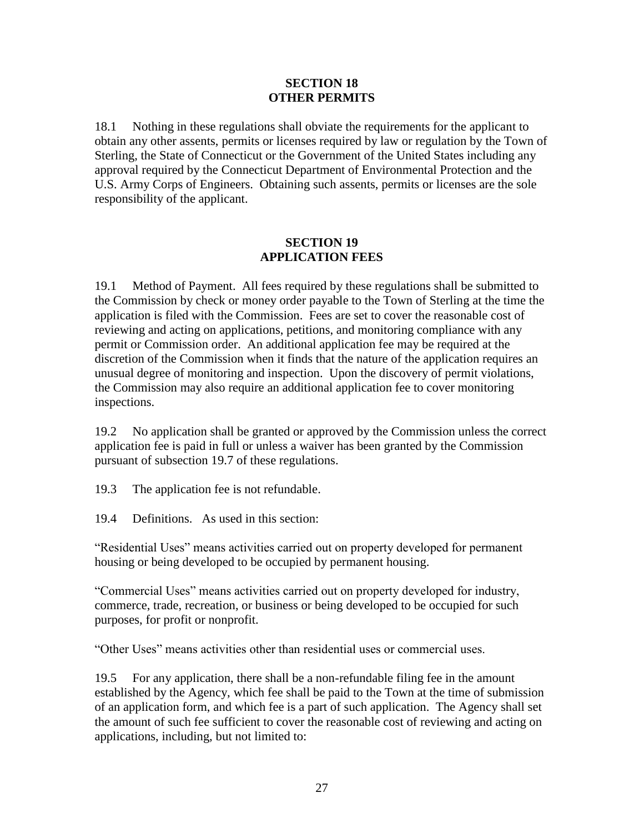#### **SECTION 18 OTHER PERMITS**

18.1 Nothing in these regulations shall obviate the requirements for the applicant to obtain any other assents, permits or licenses required by law or regulation by the Town of Sterling, the State of Connecticut or the Government of the United States including any approval required by the Connecticut Department of Environmental Protection and the U.S. Army Corps of Engineers. Obtaining such assents, permits or licenses are the sole responsibility of the applicant.

### **SECTION 19 APPLICATION FEES**

19.1 Method of Payment. All fees required by these regulations shall be submitted to the Commission by check or money order payable to the Town of Sterling at the time the application is filed with the Commission. Fees are set to cover the reasonable cost of reviewing and acting on applications, petitions, and monitoring compliance with any permit or Commission order. An additional application fee may be required at the discretion of the Commission when it finds that the nature of the application requires an unusual degree of monitoring and inspection. Upon the discovery of permit violations, the Commission may also require an additional application fee to cover monitoring inspections.

19.2 No application shall be granted or approved by the Commission unless the correct application fee is paid in full or unless a waiver has been granted by the Commission pursuant of subsection 19.7 of these regulations.

19.3 The application fee is not refundable.

19.4 Definitions. As used in this section:

"Residential Uses" means activities carried out on property developed for permanent housing or being developed to be occupied by permanent housing.

"Commercial Uses" means activities carried out on property developed for industry, commerce, trade, recreation, or business or being developed to be occupied for such purposes, for profit or nonprofit.

"Other Uses" means activities other than residential uses or commercial uses.

19.5 For any application, there shall be a non-refundable filing fee in the amount established by the Agency, which fee shall be paid to the Town at the time of submission of an application form, and which fee is a part of such application. The Agency shall set the amount of such fee sufficient to cover the reasonable cost of reviewing and acting on applications, including, but not limited to: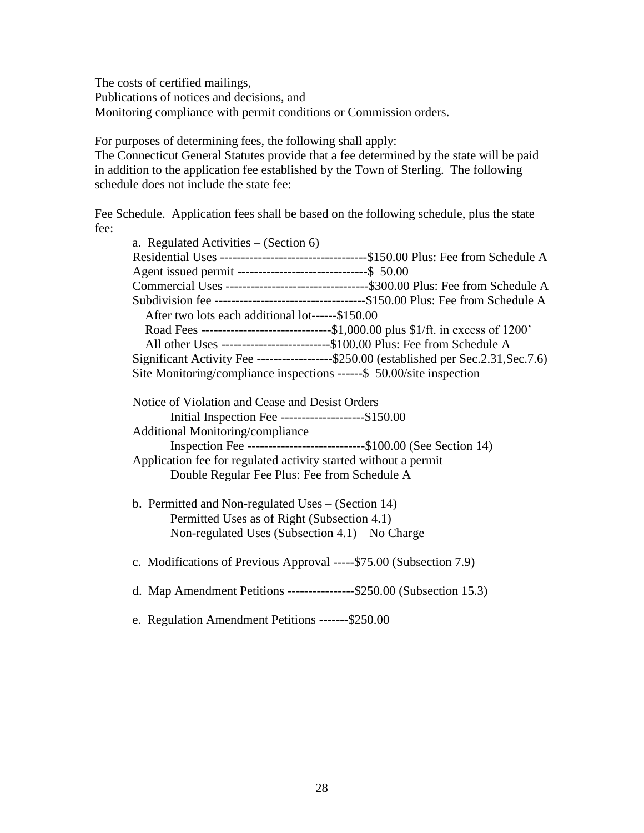The costs of certified mailings, Publications of notices and decisions, and Monitoring compliance with permit conditions or Commission orders.

For purposes of determining fees, the following shall apply:

The Connecticut General Statutes provide that a fee determined by the state will be paid in addition to the application fee established by the Town of Sterling. The following schedule does not include the state fee:

Fee Schedule. Application fees shall be based on the following schedule, plus the state fee:

| a. Regulated Activities $-$ (Section 6)                                                  |
|------------------------------------------------------------------------------------------|
|                                                                                          |
| Agent issued permit ---------------------------------\$ 50.00                            |
|                                                                                          |
|                                                                                          |
| After two lots each additional lot------\$150.00                                         |
|                                                                                          |
| All other Uses ---------------------------\$100.00 Plus: Fee from Schedule A             |
| Significant Activity Fee -------------------\$250.00 (established per Sec.2.31, Sec.7.6) |
| Site Monitoring/compliance inspections ------\$ 50.00/site inspection                    |
|                                                                                          |
| Notice of Violation and Cease and Desist Orders                                          |
| Initial Inspection Fee --------------------\$150.00                                      |
| Additional Monitoring/compliance                                                         |
| Inspection Fee ----------------------------\$100.00 (See Section 14)                     |
| Application fee for regulated activity started without a permit                          |
| Double Regular Fee Plus: Fee from Schedule A                                             |
|                                                                                          |
| b. Permitted and Non-regulated Uses $-$ (Section 14)                                     |
| Permitted Uses as of Right (Subsection 4.1)                                              |
| Non-regulated Uses (Subsection $4.1$ ) – No Charge                                       |
|                                                                                          |
| c. Modifications of Previous Approval ----- \$75.00 (Subsection 7.9)                     |
|                                                                                          |
| d. Map Amendment Petitions ----------------\$250.00 (Subsection 15.3)                    |
|                                                                                          |
| e. Regulation Amendment Petitions -------\$250.00                                        |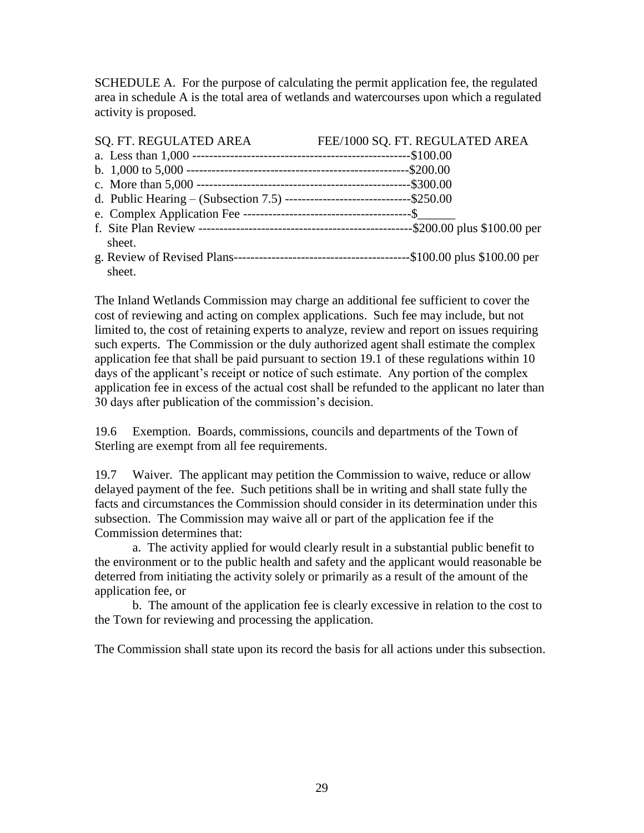SCHEDULE A. For the purpose of calculating the permit application fee, the regulated area in schedule A is the total area of wetlands and watercourses upon which a regulated activity is proposed.

| SQ. FT. REGULATED AREA                                                          | FEE/1000 SQ. FT. REGULATED AREA |
|---------------------------------------------------------------------------------|---------------------------------|
|                                                                                 |                                 |
|                                                                                 |                                 |
|                                                                                 |                                 |
| d. Public Hearing – (Subsection 7.5) ----------------------------------\$250.00 |                                 |
|                                                                                 |                                 |
|                                                                                 |                                 |
| sheet.                                                                          |                                 |
|                                                                                 |                                 |
| sheet.                                                                          |                                 |

The Inland Wetlands Commission may charge an additional fee sufficient to cover the cost of reviewing and acting on complex applications. Such fee may include, but not limited to, the cost of retaining experts to analyze, review and report on issues requiring such experts. The Commission or the duly authorized agent shall estimate the complex application fee that shall be paid pursuant to section 19.1 of these regulations within 10 days of the applicant's receipt or notice of such estimate. Any portion of the complex application fee in excess of the actual cost shall be refunded to the applicant no later than 30 days after publication of the commission's decision.

19.6 Exemption. Boards, commissions, councils and departments of the Town of Sterling are exempt from all fee requirements.

19.7 Waiver. The applicant may petition the Commission to waive, reduce or allow delayed payment of the fee. Such petitions shall be in writing and shall state fully the facts and circumstances the Commission should consider in its determination under this subsection. The Commission may waive all or part of the application fee if the Commission determines that:

a. The activity applied for would clearly result in a substantial public benefit to the environment or to the public health and safety and the applicant would reasonable be deterred from initiating the activity solely or primarily as a result of the amount of the application fee, or

b. The amount of the application fee is clearly excessive in relation to the cost to the Town for reviewing and processing the application.

The Commission shall state upon its record the basis for all actions under this subsection.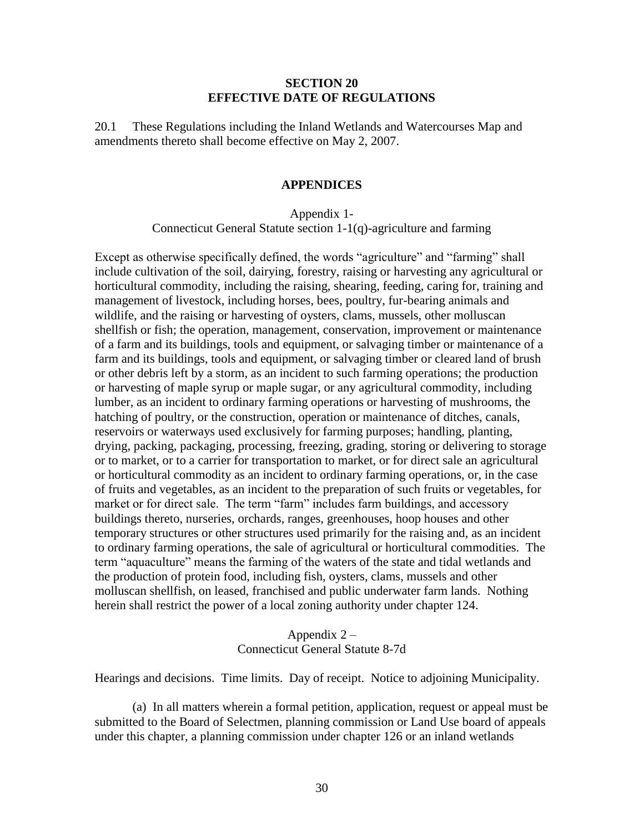#### **SECTION 20 EFFECTIVE DATE OF REGULATIONS**

20.1 These Regulations including the Inland Wetlands and Watercourses Map and amendments thereto shall become effective on May 2, 2007.

#### **APPENDICES**

#### Appendix 1- Connecticut General Statute section 1-1(q)-agriculture and farming

Except as otherwise specifically defined, the words "agriculture" and "farming" shall include cultivation of the soil, dairying, forestry, raising or harvesting any agricultural or horticultural commodity, including the raising, shearing, feeding, caring for, training and management of livestock, including horses, bees, poultry, fur-bearing animals and wildlife, and the raising or harvesting of oysters, clams, mussels, other molluscan shellfish or fish; the operation, management, conservation, improvement or maintenance of a farm and its buildings, tools and equipment, or salvaging timber or maintenance of a farm and its buildings, tools and equipment, or salvaging timber or cleared land of brush or other debris left by a storm, as an incident to such farming operations; the production or harvesting of maple syrup or maple sugar, or any agricultural commodity, including lumber, as an incident to ordinary farming operations or harvesting of mushrooms, the hatching of poultry, or the construction, operation or maintenance of ditches, canals, reservoirs or waterways used exclusively for farming purposes; handling, planting, drying, packing, packaging, processing, freezing, grading, storing or delivering to storage or to market, or to a carrier for transportation to market, or for direct sale an agricultural or horticultural commodity as an incident to ordinary farming operations, or, in the case of fruits and vegetables, as an incident to the preparation of such fruits or vegetables, for market or for direct sale. The term "farm" includes farm buildings, and accessory buildings thereto, nurseries, orchards, ranges, greenhouses, hoop houses and other temporary structures or other structures used primarily for the raising and, as an incident to ordinary farming operations, the sale of agricultural or horticultural commodities. The term "aquaculture" means the farming of the waters of the state and tidal wetlands and the production of protein food, including fish, oysters, clams, mussels and other molluscan shellfish, on leased, franchised and public underwater farm lands. Nothing herein shall restrict the power of a local zoning authority under chapter 124.

#### Appendix 2 – Connecticut General Statute 8-7d

Hearings and decisions. Time limits. Day of receipt. Notice to adjoining Municipality.

(a) In all matters wherein a formal petition, application, request or appeal must be submitted to the Board of Selectmen, planning commission or Land Use board of appeals under this chapter, a planning commission under chapter 126 or an inland wetlands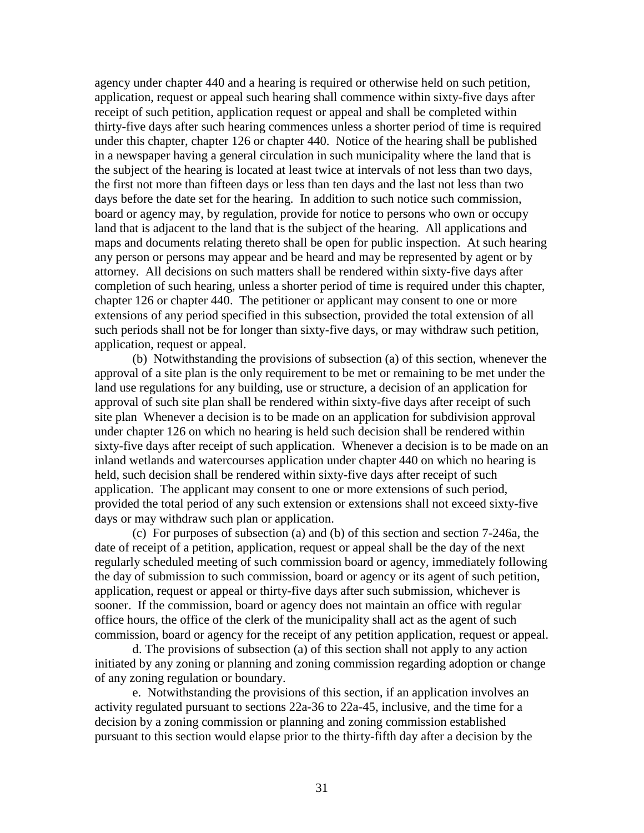agency under chapter 440 and a hearing is required or otherwise held on such petition, application, request or appeal such hearing shall commence within sixty-five days after receipt of such petition, application request or appeal and shall be completed within thirty-five days after such hearing commences unless a shorter period of time is required under this chapter, chapter 126 or chapter 440. Notice of the hearing shall be published in a newspaper having a general circulation in such municipality where the land that is the subject of the hearing is located at least twice at intervals of not less than two days, the first not more than fifteen days or less than ten days and the last not less than two days before the date set for the hearing. In addition to such notice such commission, board or agency may, by regulation, provide for notice to persons who own or occupy land that is adjacent to the land that is the subject of the hearing. All applications and maps and documents relating thereto shall be open for public inspection. At such hearing any person or persons may appear and be heard and may be represented by agent or by attorney. All decisions on such matters shall be rendered within sixty-five days after completion of such hearing, unless a shorter period of time is required under this chapter, chapter 126 or chapter 440. The petitioner or applicant may consent to one or more extensions of any period specified in this subsection, provided the total extension of all such periods shall not be for longer than sixty-five days, or may withdraw such petition, application, request or appeal.

(b) Notwithstanding the provisions of subsection (a) of this section, whenever the approval of a site plan is the only requirement to be met or remaining to be met under the land use regulations for any building, use or structure, a decision of an application for approval of such site plan shall be rendered within sixty-five days after receipt of such site plan Whenever a decision is to be made on an application for subdivision approval under chapter 126 on which no hearing is held such decision shall be rendered within sixty-five days after receipt of such application. Whenever a decision is to be made on an inland wetlands and watercourses application under chapter 440 on which no hearing is held, such decision shall be rendered within sixty-five days after receipt of such application. The applicant may consent to one or more extensions of such period, provided the total period of any such extension or extensions shall not exceed sixty-five days or may withdraw such plan or application.

(c) For purposes of subsection (a) and (b) of this section and section 7-246a, the date of receipt of a petition, application, request or appeal shall be the day of the next regularly scheduled meeting of such commission board or agency, immediately following the day of submission to such commission, board or agency or its agent of such petition, application, request or appeal or thirty-five days after such submission, whichever is sooner. If the commission, board or agency does not maintain an office with regular office hours, the office of the clerk of the municipality shall act as the agent of such commission, board or agency for the receipt of any petition application, request or appeal.

d. The provisions of subsection (a) of this section shall not apply to any action initiated by any zoning or planning and zoning commission regarding adoption or change of any zoning regulation or boundary.

e. Notwithstanding the provisions of this section, if an application involves an activity regulated pursuant to sections 22a-36 to 22a-45, inclusive, and the time for a decision by a zoning commission or planning and zoning commission established pursuant to this section would elapse prior to the thirty-fifth day after a decision by the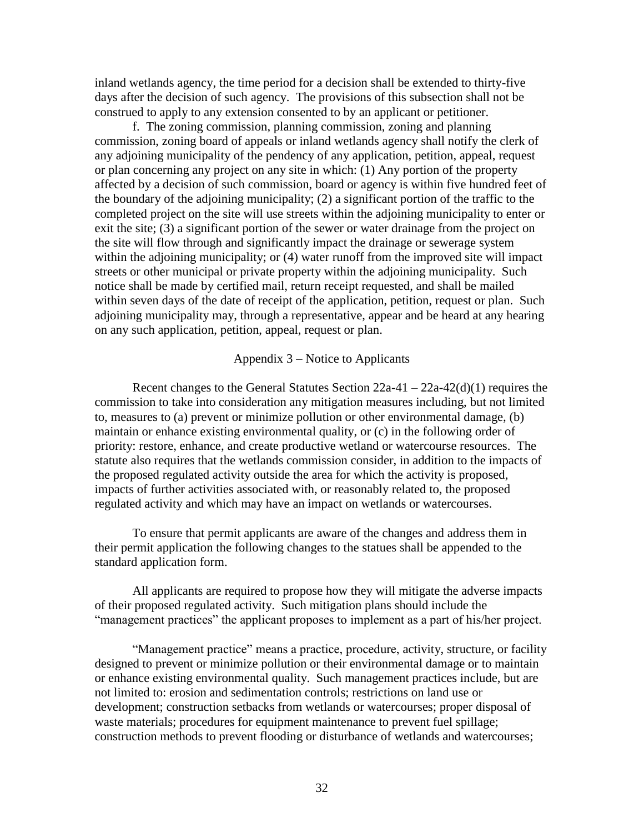inland wetlands agency, the time period for a decision shall be extended to thirty-five days after the decision of such agency. The provisions of this subsection shall not be construed to apply to any extension consented to by an applicant or petitioner.

f. The zoning commission, planning commission, zoning and planning commission, zoning board of appeals or inland wetlands agency shall notify the clerk of any adjoining municipality of the pendency of any application, petition, appeal, request or plan concerning any project on any site in which: (1) Any portion of the property affected by a decision of such commission, board or agency is within five hundred feet of the boundary of the adjoining municipality; (2) a significant portion of the traffic to the completed project on the site will use streets within the adjoining municipality to enter or exit the site; (3) a significant portion of the sewer or water drainage from the project on the site will flow through and significantly impact the drainage or sewerage system within the adjoining municipality; or (4) water runoff from the improved site will impact streets or other municipal or private property within the adjoining municipality. Such notice shall be made by certified mail, return receipt requested, and shall be mailed within seven days of the date of receipt of the application, petition, request or plan. Such adjoining municipality may, through a representative, appear and be heard at any hearing on any such application, petition, appeal, request or plan.

#### Appendix 3 – Notice to Applicants

Recent changes to the General Statutes Section  $22a-41 - 22a-42(d)(1)$  requires the commission to take into consideration any mitigation measures including, but not limited to, measures to (a) prevent or minimize pollution or other environmental damage, (b) maintain or enhance existing environmental quality, or (c) in the following order of priority: restore, enhance, and create productive wetland or watercourse resources. The statute also requires that the wetlands commission consider, in addition to the impacts of the proposed regulated activity outside the area for which the activity is proposed, impacts of further activities associated with, or reasonably related to, the proposed regulated activity and which may have an impact on wetlands or watercourses.

To ensure that permit applicants are aware of the changes and address them in their permit application the following changes to the statues shall be appended to the standard application form.

All applicants are required to propose how they will mitigate the adverse impacts of their proposed regulated activity. Such mitigation plans should include the "management practices" the applicant proposes to implement as a part of his/her project.

"Management practice" means a practice, procedure, activity, structure, or facility designed to prevent or minimize pollution or their environmental damage or to maintain or enhance existing environmental quality. Such management practices include, but are not limited to: erosion and sedimentation controls; restrictions on land use or development; construction setbacks from wetlands or watercourses; proper disposal of waste materials; procedures for equipment maintenance to prevent fuel spillage; construction methods to prevent flooding or disturbance of wetlands and watercourses;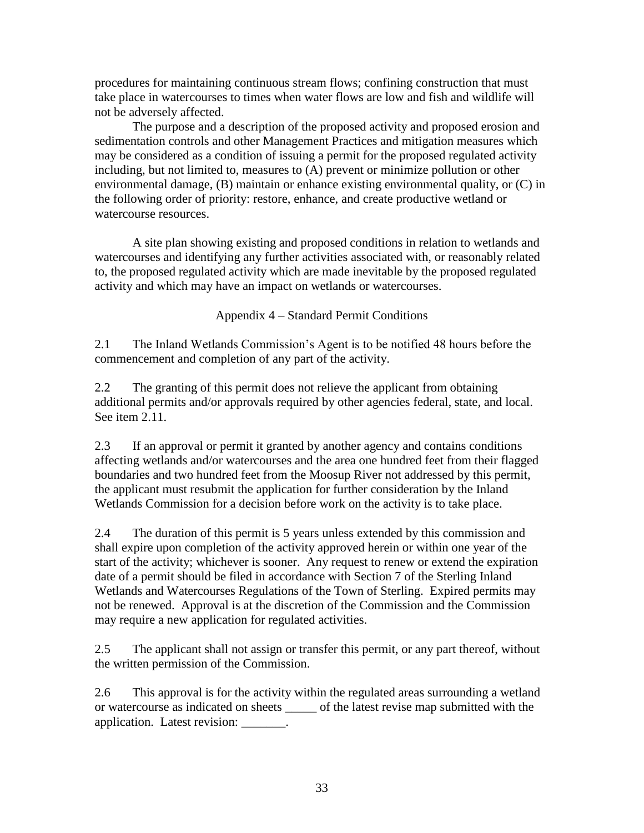procedures for maintaining continuous stream flows; confining construction that must take place in watercourses to times when water flows are low and fish and wildlife will not be adversely affected.

The purpose and a description of the proposed activity and proposed erosion and sedimentation controls and other Management Practices and mitigation measures which may be considered as a condition of issuing a permit for the proposed regulated activity including, but not limited to, measures to (A) prevent or minimize pollution or other environmental damage, (B) maintain or enhance existing environmental quality, or (C) in the following order of priority: restore, enhance, and create productive wetland or watercourse resources.

A site plan showing existing and proposed conditions in relation to wetlands and watercourses and identifying any further activities associated with, or reasonably related to, the proposed regulated activity which are made inevitable by the proposed regulated activity and which may have an impact on wetlands or watercourses.

Appendix 4 – Standard Permit Conditions

2.1 The Inland Wetlands Commission's Agent is to be notified 48 hours before the commencement and completion of any part of the activity.

2.2 The granting of this permit does not relieve the applicant from obtaining additional permits and/or approvals required by other agencies federal, state, and local. See item 2.11.

2.3 If an approval or permit it granted by another agency and contains conditions affecting wetlands and/or watercourses and the area one hundred feet from their flagged boundaries and two hundred feet from the Moosup River not addressed by this permit, the applicant must resubmit the application for further consideration by the Inland Wetlands Commission for a decision before work on the activity is to take place.

2.4 The duration of this permit is 5 years unless extended by this commission and shall expire upon completion of the activity approved herein or within one year of the start of the activity; whichever is sooner. Any request to renew or extend the expiration date of a permit should be filed in accordance with Section 7 of the Sterling Inland Wetlands and Watercourses Regulations of the Town of Sterling. Expired permits may not be renewed. Approval is at the discretion of the Commission and the Commission may require a new application for regulated activities.

2.5 The applicant shall not assign or transfer this permit, or any part thereof, without the written permission of the Commission.

2.6 This approval is for the activity within the regulated areas surrounding a wetland or watercourse as indicated on sheets \_\_\_\_\_ of the latest revise map submitted with the application. Latest revision: \_\_\_\_\_\_\_.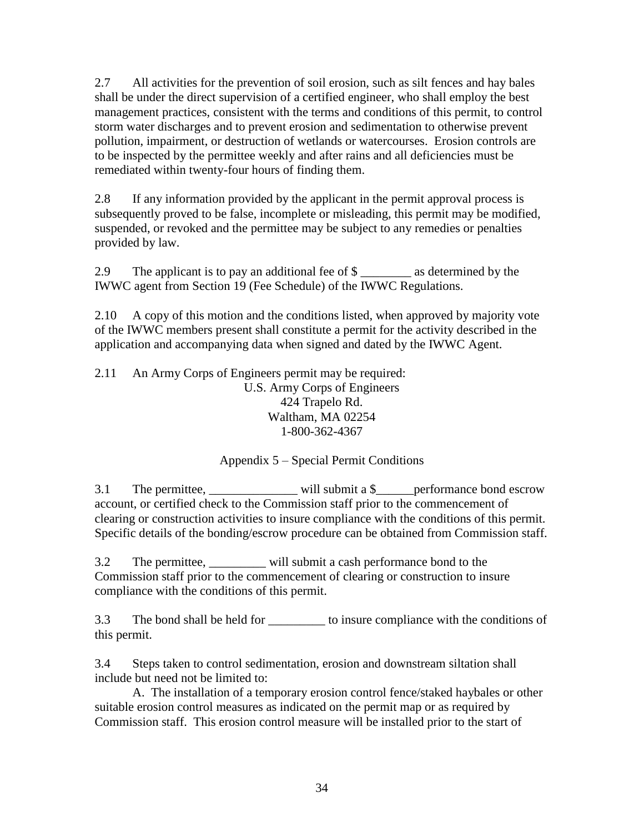2.7 All activities for the prevention of soil erosion, such as silt fences and hay bales shall be under the direct supervision of a certified engineer, who shall employ the best management practices, consistent with the terms and conditions of this permit, to control storm water discharges and to prevent erosion and sedimentation to otherwise prevent pollution, impairment, or destruction of wetlands or watercourses. Erosion controls are to be inspected by the permittee weekly and after rains and all deficiencies must be remediated within twenty-four hours of finding them.

2.8 If any information provided by the applicant in the permit approval process is subsequently proved to be false, incomplete or misleading, this permit may be modified, suspended, or revoked and the permittee may be subject to any remedies or penalties provided by law.

2.9 The applicant is to pay an additional fee of \$ IWWC agent from Section 19 (Fee Schedule) of the IWWC Regulations.

2.10 A copy of this motion and the conditions listed, when approved by majority vote of the IWWC members present shall constitute a permit for the activity described in the application and accompanying data when signed and dated by the IWWC Agent.

2.11 An Army Corps of Engineers permit may be required: U.S. Army Corps of Engineers 424 Trapelo Rd. Waltham, MA 02254 1-800-362-4367

## Appendix 5 – Special Permit Conditions

3.1 The permittee, \_\_\_\_\_\_\_\_\_\_\_\_\_\_\_\_\_\_ will submit a \$\_\_\_\_\_\_performance bond escrow account, or certified check to the Commission staff prior to the commencement of clearing or construction activities to insure compliance with the conditions of this permit. Specific details of the bonding/escrow procedure can be obtained from Commission staff.

3.2 The permittee, \_\_\_\_\_\_\_\_\_ will submit a cash performance bond to the Commission staff prior to the commencement of clearing or construction to insure compliance with the conditions of this permit.

3.3 The bond shall be held for to insure compliance with the conditions of this permit.

3.4 Steps taken to control sedimentation, erosion and downstream siltation shall include but need not be limited to:

A. The installation of a temporary erosion control fence/staked haybales or other suitable erosion control measures as indicated on the permit map or as required by Commission staff. This erosion control measure will be installed prior to the start of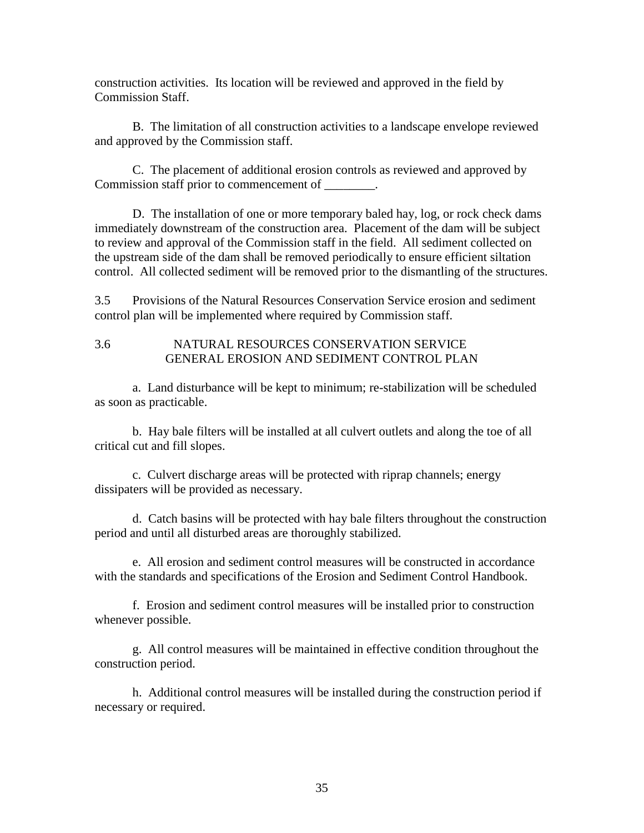construction activities. Its location will be reviewed and approved in the field by Commission Staff.

B. The limitation of all construction activities to a landscape envelope reviewed and approved by the Commission staff.

C. The placement of additional erosion controls as reviewed and approved by Commission staff prior to commencement of \_\_\_\_\_\_\_\_.

D. The installation of one or more temporary baled hay, log, or rock check dams immediately downstream of the construction area. Placement of the dam will be subject to review and approval of the Commission staff in the field. All sediment collected on the upstream side of the dam shall be removed periodically to ensure efficient siltation control. All collected sediment will be removed prior to the dismantling of the structures.

3.5 Provisions of the Natural Resources Conservation Service erosion and sediment control plan will be implemented where required by Commission staff.

#### 3.6 NATURAL RESOURCES CONSERVATION SERVICE GENERAL EROSION AND SEDIMENT CONTROL PLAN

a. Land disturbance will be kept to minimum; re-stabilization will be scheduled as soon as practicable.

b. Hay bale filters will be installed at all culvert outlets and along the toe of all critical cut and fill slopes.

c. Culvert discharge areas will be protected with riprap channels; energy dissipaters will be provided as necessary.

d. Catch basins will be protected with hay bale filters throughout the construction period and until all disturbed areas are thoroughly stabilized.

e. All erosion and sediment control measures will be constructed in accordance with the standards and specifications of the Erosion and Sediment Control Handbook.

f. Erosion and sediment control measures will be installed prior to construction whenever possible.

g. All control measures will be maintained in effective condition throughout the construction period.

h. Additional control measures will be installed during the construction period if necessary or required.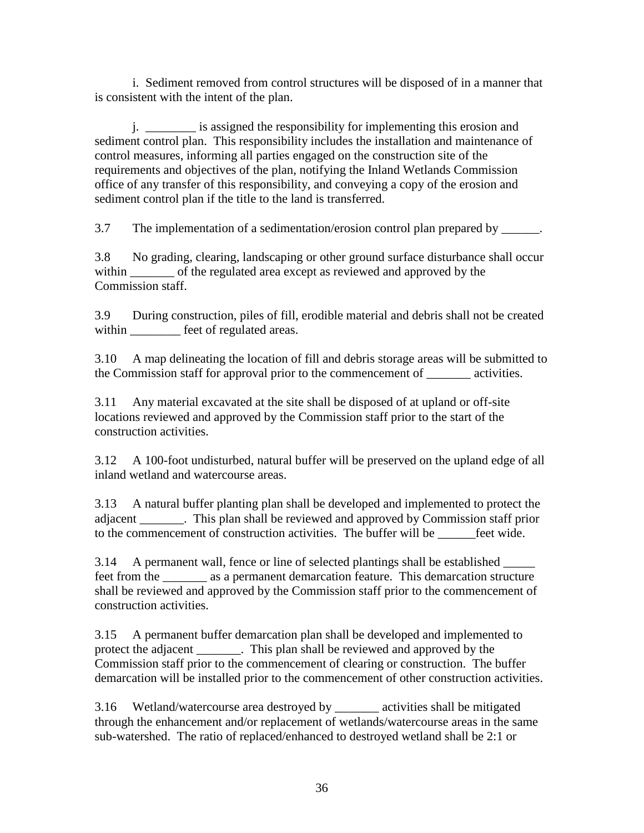i. Sediment removed from control structures will be disposed of in a manner that is consistent with the intent of the plan.

j. \_\_\_\_\_\_\_\_ is assigned the responsibility for implementing this erosion and sediment control plan. This responsibility includes the installation and maintenance of control measures, informing all parties engaged on the construction site of the requirements and objectives of the plan, notifying the Inland Wetlands Commission office of any transfer of this responsibility, and conveying a copy of the erosion and sediment control plan if the title to the land is transferred.

3.7 The implementation of a sedimentation/erosion control plan prepared by \_\_\_\_\_\_.

3.8 No grading, clearing, landscaping or other ground surface disturbance shall occur within \_\_\_\_\_\_\_\_ of the regulated area except as reviewed and approved by the Commission staff.

3.9 During construction, piles of fill, erodible material and debris shall not be created within **wither** feet of regulated areas.

3.10 A map delineating the location of fill and debris storage areas will be submitted to the Commission staff for approval prior to the commencement of \_\_\_\_\_\_\_ activities.

3.11 Any material excavated at the site shall be disposed of at upland or off-site locations reviewed and approved by the Commission staff prior to the start of the construction activities.

3.12 A 100-foot undisturbed, natural buffer will be preserved on the upland edge of all inland wetland and watercourse areas.

3.13 A natural buffer planting plan shall be developed and implemented to protect the adjacent \_\_\_\_\_\_\_. This plan shall be reviewed and approved by Commission staff prior to the commencement of construction activities. The buffer will be  $\qquad$  feet wide.

3.14 A permanent wall, fence or line of selected plantings shall be established \_\_\_\_\_ feet from the as a permanent demarcation feature. This demarcation structure shall be reviewed and approved by the Commission staff prior to the commencement of construction activities.

3.15 A permanent buffer demarcation plan shall be developed and implemented to protect the adjacent \_\_\_\_\_\_\_. This plan shall be reviewed and approved by the Commission staff prior to the commencement of clearing or construction. The buffer demarcation will be installed prior to the commencement of other construction activities.

3.16 Wetland/watercourse area destroyed by \_\_\_\_\_\_\_ activities shall be mitigated through the enhancement and/or replacement of wetlands/watercourse areas in the same sub-watershed. The ratio of replaced/enhanced to destroyed wetland shall be 2:1 or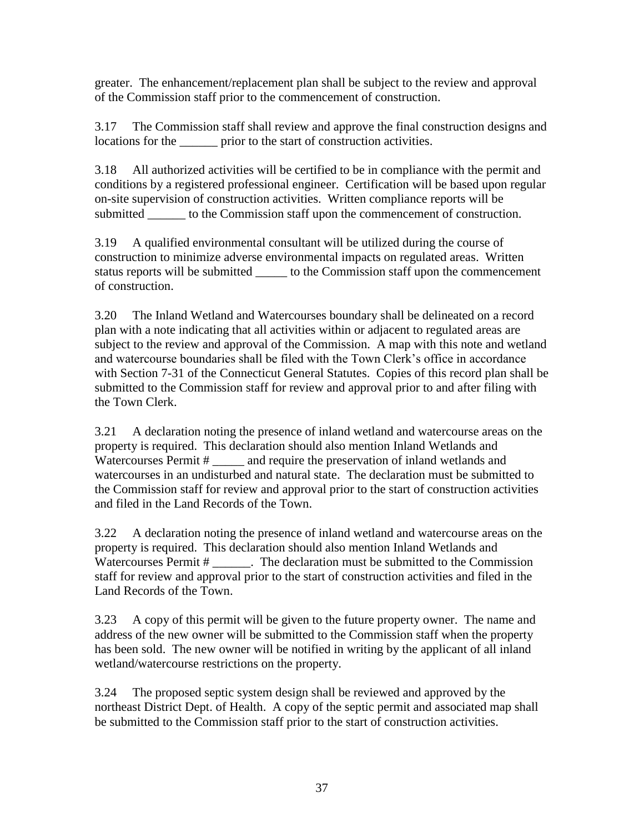greater. The enhancement/replacement plan shall be subject to the review and approval of the Commission staff prior to the commencement of construction.

3.17 The Commission staff shall review and approve the final construction designs and locations for the prior to the start of construction activities.

3.18 All authorized activities will be certified to be in compliance with the permit and conditions by a registered professional engineer. Certification will be based upon regular on-site supervision of construction activities. Written compliance reports will be submitted \_\_\_\_\_\_ to the Commission staff upon the commencement of construction.

3.19 A qualified environmental consultant will be utilized during the course of construction to minimize adverse environmental impacts on regulated areas. Written status reports will be submitted \_\_\_\_\_\_ to the Commission staff upon the commencement of construction.

3.20 The Inland Wetland and Watercourses boundary shall be delineated on a record plan with a note indicating that all activities within or adjacent to regulated areas are subject to the review and approval of the Commission. A map with this note and wetland and watercourse boundaries shall be filed with the Town Clerk's office in accordance with Section 7-31 of the Connecticut General Statutes. Copies of this record plan shall be submitted to the Commission staff for review and approval prior to and after filing with the Town Clerk.

3.21 A declaration noting the presence of inland wetland and watercourse areas on the property is required. This declaration should also mention Inland Wetlands and Watercourses Permit # \_\_\_\_\_\_ and require the preservation of inland wetlands and watercourses in an undisturbed and natural state. The declaration must be submitted to the Commission staff for review and approval prior to the start of construction activities and filed in the Land Records of the Town.

3.22 A declaration noting the presence of inland wetland and watercourse areas on the property is required. This declaration should also mention Inland Wetlands and Watercourses Permit # \_\_\_\_\_\_. The declaration must be submitted to the Commission staff for review and approval prior to the start of construction activities and filed in the Land Records of the Town.

3.23 A copy of this permit will be given to the future property owner. The name and address of the new owner will be submitted to the Commission staff when the property has been sold. The new owner will be notified in writing by the applicant of all inland wetland/watercourse restrictions on the property.

3.24 The proposed septic system design shall be reviewed and approved by the northeast District Dept. of Health. A copy of the septic permit and associated map shall be submitted to the Commission staff prior to the start of construction activities.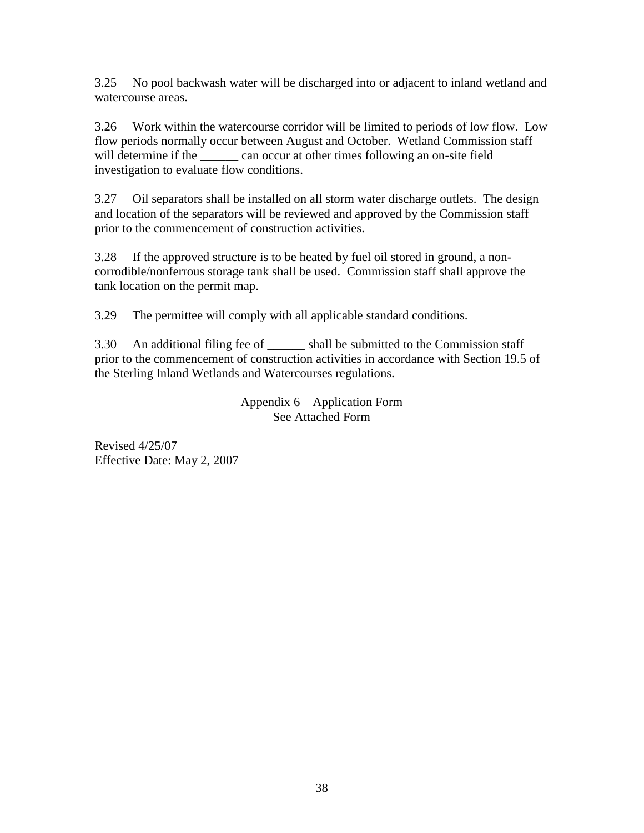3.25 No pool backwash water will be discharged into or adjacent to inland wetland and watercourse areas.

3.26 Work within the watercourse corridor will be limited to periods of low flow. Low flow periods normally occur between August and October. Wetland Commission staff will determine if the \_\_\_\_\_\_ can occur at other times following an on-site field investigation to evaluate flow conditions.

3.27 Oil separators shall be installed on all storm water discharge outlets. The design and location of the separators will be reviewed and approved by the Commission staff prior to the commencement of construction activities.

3.28 If the approved structure is to be heated by fuel oil stored in ground, a noncorrodible/nonferrous storage tank shall be used. Commission staff shall approve the tank location on the permit map.

3.29 The permittee will comply with all applicable standard conditions.

3.30 An additional filing fee of \_\_\_\_\_\_ shall be submitted to the Commission staff prior to the commencement of construction activities in accordance with Section 19.5 of the Sterling Inland Wetlands and Watercourses regulations.

> Appendix 6 – Application Form See Attached Form

Revised 4/25/07 Effective Date: May 2, 2007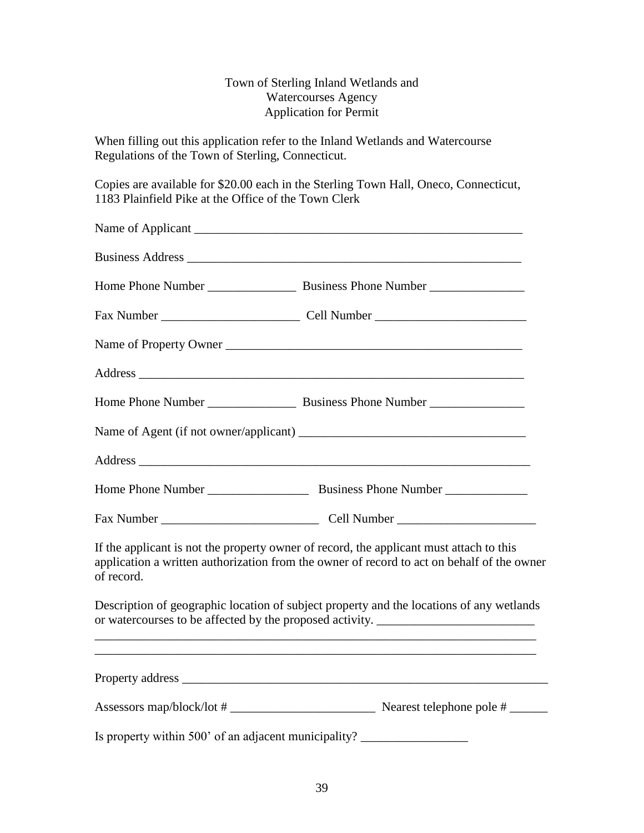## Town of Sterling Inland Wetlands and Watercourses Agency Application for Permit

When filling out this application refer to the Inland Wetlands and Watercourse Regulations of the Town of Sterling, Connecticut.

Copies are available for \$20.00 each in the Sterling Town Hall, Oneco, Connecticut, 1183 Plainfield Pike at the Office of the Town Clerk

|                                                                                  | Name of Property Owner                                                                                                                                                                |
|----------------------------------------------------------------------------------|---------------------------------------------------------------------------------------------------------------------------------------------------------------------------------------|
|                                                                                  |                                                                                                                                                                                       |
|                                                                                  |                                                                                                                                                                                       |
|                                                                                  |                                                                                                                                                                                       |
|                                                                                  |                                                                                                                                                                                       |
|                                                                                  |                                                                                                                                                                                       |
|                                                                                  |                                                                                                                                                                                       |
| of record.                                                                       | If the applicant is not the property owner of record, the applicant must attach to this<br>application a written authorization from the owner of record to act on behalf of the owner |
|                                                                                  | Description of geographic location of subject property and the locations of any wetlands<br>or watercourses to be affected by the proposed activity. _______________________          |
|                                                                                  |                                                                                                                                                                                       |
|                                                                                  |                                                                                                                                                                                       |
| Is property within 500' of an adjacent municipality? ___________________________ |                                                                                                                                                                                       |